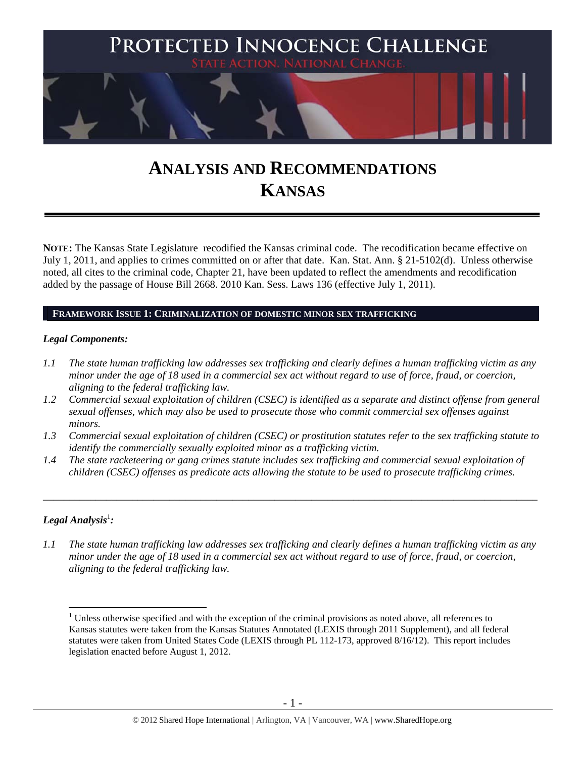

# **ANALYSIS AND RECOMMENDATIONS KANSAS**

**NOTE:** The Kansas State Legislature recodified the Kansas criminal code. The recodification became effective on July 1, 2011, and applies to crimes committed on or after that date. Kan. Stat. Ann. § 21-5102(d). Unless otherwise noted, all cites to the criminal code, Chapter 21, have been updated to reflect the amendments and recodification added by the passage of House Bill 2668. 2010 Kan. Sess. Laws 136 (effective July 1, 2011).

## **FRAMEWORK ISSUE 1: CRIMINALIZATION OF DOMESTIC MINOR SEX TRAFFICKING**

## *Legal Components:*

- *1.1 The state human trafficking law addresses sex trafficking and clearly defines a human trafficking victim as any minor under the age of 18 used in a commercial sex act without regard to use of force, fraud, or coercion, aligning to the federal trafficking law.*
- *1.2 Commercial sexual exploitation of children (CSEC) is identified as a separate and distinct offense from general sexual offenses, which may also be used to prosecute those who commit commercial sex offenses against minors.*
- *1.3 Commercial sexual exploitation of children (CSEC) or prostitution statutes refer to the sex trafficking statute to identify the commercially sexually exploited minor as a trafficking victim.*

\_\_\_\_\_\_\_\_\_\_\_\_\_\_\_\_\_\_\_\_\_\_\_\_\_\_\_\_\_\_\_\_\_\_\_\_\_\_\_\_\_\_\_\_\_\_\_\_\_\_\_\_\_\_\_\_\_\_\_\_\_\_\_\_\_\_\_\_\_\_\_\_\_\_\_\_\_\_\_\_\_\_\_\_\_\_\_\_\_\_\_\_\_\_

*1.4 The state racketeering or gang crimes statute includes sex trafficking and commercial sexual exploitation of children (CSEC) offenses as predicate acts allowing the statute to be used to prosecute trafficking crimes.* 

## $\bm{\mathit{Legal\, Analysis^1:}}$

*1.1 The state human trafficking law addresses sex trafficking and clearly defines a human trafficking victim as any minor under the age of 18 used in a commercial sex act without regard to use of force, fraud, or coercion, aligning to the federal trafficking law.* 

 $\overline{a}$  $1$  Unless otherwise specified and with the exception of the criminal provisions as noted above, all references to Kansas statutes were taken from the Kansas Statutes Annotated (LEXIS through 2011 Supplement), and all federal statutes were taken from United States Code (LEXIS through PL 112-173, approved 8/16/12). This report includes legislation enacted before August 1, 2012.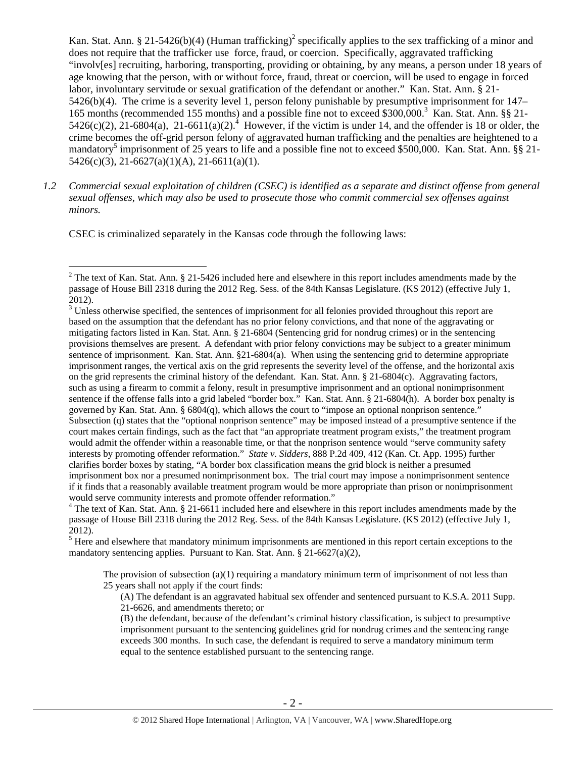Kan. Stat. Ann. § 21-5426(b)(4) (Human trafficking)<sup>2</sup> specifically applies to the sex trafficking of a minor and does not require that the trafficker use force, fraud, or coercion. Specifically, aggravated trafficking "involv[es] recruiting, harboring, transporting, providing or obtaining, by any means, a person under 18 years of age knowing that the person, with or without force, fraud, threat or coercion, will be used to engage in forced labor, involuntary servitude or sexual gratification of the defendant or another." Kan. Stat. Ann. § 21- 5426(b)(4). The crime is a severity level 1, person felony punishable by presumptive imprisonment for 147– 165 months (recommended 155 months) and a possible fine not to exceed \$300,000.<sup>3</sup> Kan. Stat. Ann. §§ 21- $5426(c)(2)$ ,  $21-6804(a)$ ,  $21-6611(a)(2)$ .<sup>4</sup> However, if the victim is under 14, and the offender is 18 or older, the crime becomes the off-grid person felony of aggravated human trafficking and the penalties are heightened to a mandatory<sup>5</sup> imprisonment of 25 years to life and a possible fine not to exceed \$500,000. Kan. Stat. Ann. §§ 21- $5426(c)(3)$ ,  $21-6627(a)(1)(A)$ ,  $21-6611(a)(1)$ .

*1.2 Commercial sexual exploitation of children (CSEC) is identified as a separate and distinct offense from general sexual offenses, which may also be used to prosecute those who commit commercial sex offenses against minors.* 

CSEC is criminalized separately in the Kansas code through the following laws:

 $\overline{a}$ 

 $<sup>5</sup>$  Here and elsewhere that mandatory minimum imprisonments are mentioned in this report certain exceptions to the</sup> mandatory sentencing applies. Pursuant to Kan. Stat. Ann. § 21-6627(a)(2),

The provision of subsection  $(a)(1)$  requiring a mandatory minimum term of imprisonment of not less than 25 years shall not apply if the court finds:

(A) The defendant is an aggravated habitual sex offender and sentenced pursuant to K.S.A. 2011 Supp. 21-6626, and amendments thereto; or

<sup>&</sup>lt;sup>2</sup> The text of Kan. Stat. Ann. § 21-5426 included here and elsewhere in this report includes amendments made by the passage of House Bill 2318 during the 2012 Reg. Sess. of the 84th Kansas Legislature. (KS 2012) (effective July 1, 2012).

 $3$  Unless otherwise specified, the sentences of imprisonment for all felonies provided throughout this report are based on the assumption that the defendant has no prior felony convictions, and that none of the aggravating or mitigating factors listed in Kan. Stat. Ann. § 21-6804 (Sentencing grid for nondrug crimes) or in the sentencing provisions themselves are present. A defendant with prior felony convictions may be subject to a greater minimum sentence of imprisonment. Kan. Stat. Ann. §21-6804(a). When using the sentencing grid to determine appropriate imprisonment ranges, the vertical axis on the grid represents the severity level of the offense, and the horizontal axis on the grid represents the criminal history of the defendant. Kan. Stat. Ann. § 21-6804(c). Aggravating factors, such as using a firearm to commit a felony, result in presumptive imprisonment and an optional nonimprisonment sentence if the offense falls into a grid labeled "border box." Kan. Stat. Ann. § 21-6804(h). A border box penalty is governed by Kan. Stat. Ann. § 6804(q), which allows the court to "impose an optional nonprison sentence." Subsection (q) states that the "optional nonprison sentence" may be imposed instead of a presumptive sentence if the court makes certain findings, such as the fact that "an appropriate treatment program exists," the treatment program would admit the offender within a reasonable time, or that the nonprison sentence would "serve community safety interests by promoting offender reformation." *State v. Sidders*, 888 P.2d 409, 412 (Kan. Ct. App. 1995) further clarifies border boxes by stating, "A border box classification means the grid block is neither a presumed imprisonment box nor a presumed nonimprisonment box. The trial court may impose a nonimprisonment sentence if it finds that a reasonably available treatment program would be more appropriate than prison or nonimprisonment would serve community interests and promote offender reformation."

<sup>&</sup>lt;sup>4</sup> The text of Kan. Stat. Ann. § 21-6611 included here and elsewhere in this report includes amendments made by the passage of House Bill 2318 during the 2012 Reg. Sess. of the 84th Kansas Legislature. (KS 2012) (effective July 1, 2012).

<sup>(</sup>B) the defendant, because of the defendant's criminal history classification, is subject to presumptive imprisonment pursuant to the sentencing guidelines grid for nondrug crimes and the sentencing range exceeds 300 months. In such case, the defendant is required to serve a mandatory minimum term equal to the sentence established pursuant to the sentencing range.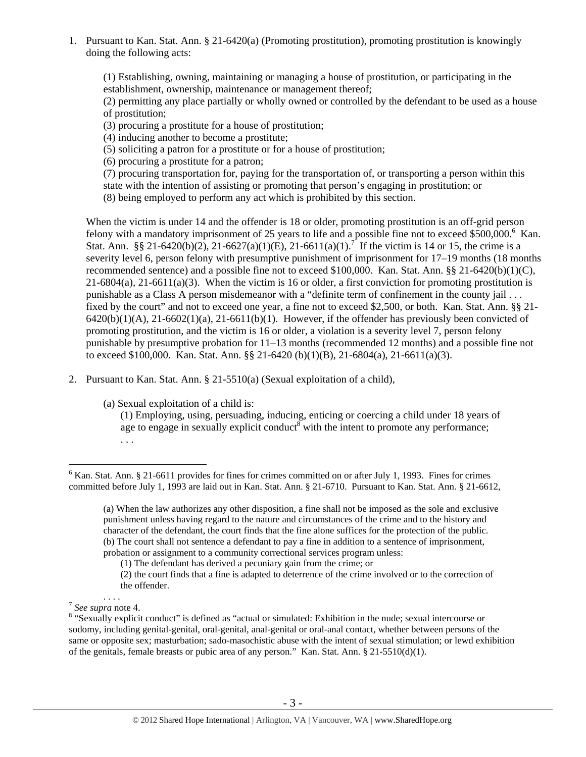1. Pursuant to Kan. Stat. Ann. § 21-6420(a) (Promoting prostitution), promoting prostitution is knowingly doing the following acts:

(1) Establishing, owning, maintaining or managing a house of prostitution, or participating in the establishment, ownership, maintenance or management thereof;

(2) permitting any place partially or wholly owned or controlled by the defendant to be used as a house of prostitution;

(3) procuring a prostitute for a house of prostitution;

(4) inducing another to become a prostitute;

(5) soliciting a patron for a prostitute or for a house of prostitution;

(6) procuring a prostitute for a patron;

(7) procuring transportation for, paying for the transportation of, or transporting a person within this

state with the intention of assisting or promoting that person's engaging in prostitution; or

(8) being employed to perform any act which is prohibited by this section.

When the victim is under 14 and the offender is 18 or older, promoting prostitution is an off-grid person felony with a mandatory imprisonment of 25 years to life and a possible fine not to exceed \$500,000.<sup>6</sup> Kan. Stat. Ann. §§ 21-6420(b)(2), 21-6627(a)(1)(E), 21-6611(a)(1).<sup>7</sup> If the victim is 14 or 15, the crime is a severity level 6, person felony with presumptive punishment of imprisonment for 17–19 months (18 months recommended sentence) and a possible fine not to exceed \$100,000. Kan. Stat. Ann.  $\S$ § 21-6420(b)(1)(C),  $21-6804(a)$ ,  $21-6611(a)(3)$ . When the victim is 16 or older, a first conviction for promoting prostitution is punishable as a Class A person misdemeanor with a "definite term of confinement in the county jail . . . fixed by the court" and not to exceed one year, a fine not to exceed \$2,500, or both. Kan. Stat. Ann. §§ 21-  $6420(b)(1)(A)$ ,  $21-6602(1)(a)$ ,  $21-6611(b)(1)$ . However, if the offender has previously been convicted of promoting prostitution, and the victim is 16 or older, a violation is a severity level 7, person felony punishable by presumptive probation for 11–13 months (recommended 12 months) and a possible fine not to exceed \$100,000. Kan. Stat. Ann. §§ 21-6420 (b)(1)(B), 21-6804(a), 21-6611(a)(3).

2. Pursuant to Kan. Stat. Ann. § 21-5510(a) (Sexual exploitation of a child),

(a) Sexual exploitation of a child is:

(1) Employing, using, persuading, inducing, enticing or coercing a child under 18 years of age to engage in sexually explicit conduct with the intent to promote any performance; . . .

 $6$  Kan. Stat. Ann. § 21-6611 provides for fines for crimes committed on or after July 1, 1993. Fines for crimes committed before July 1, 1993 are laid out in Kan. Stat. Ann. § 21-6710. Pursuant to Kan. Stat. Ann. § 21-6612,

<sup>(</sup>a) When the law authorizes any other disposition, a fine shall not be imposed as the sole and exclusive punishment unless having regard to the nature and circumstances of the crime and to the history and character of the defendant, the court finds that the fine alone suffices for the protection of the public. (b) The court shall not sentence a defendant to pay a fine in addition to a sentence of imprisonment, probation or assignment to a community correctional services program unless:

<sup>(1)</sup> The defendant has derived a pecuniary gain from the crime; or

<sup>(2)</sup> the court finds that a fine is adapted to deterrence of the crime involved or to the correction of the offender.

<sup>&</sup>lt;sup>7</sup> See supra note 4.

<sup>&</sup>lt;sup>8</sup> "Sexually explicit conduct" is defined as "actual or simulated: Exhibition in the nude; sexual intercourse or sodomy, including genital-genital, oral-genital, anal-genital or oral-anal contact, whether between persons of the same or opposite sex; masturbation; sado-masochistic abuse with the intent of sexual stimulation; or lewd exhibition of the genitals, female breasts or pubic area of any person." Kan. Stat. Ann. § 21-5510(d)(1).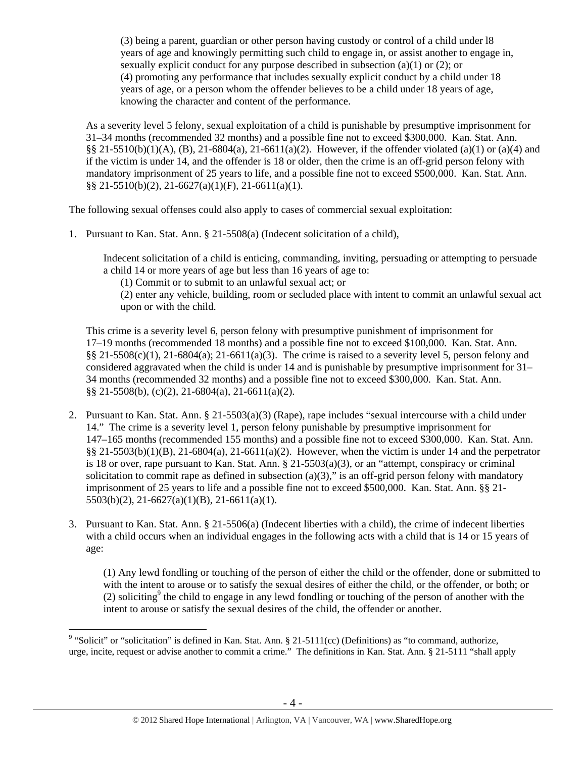(3) being a parent, guardian or other person having custody or control of a child under l8 years of age and knowingly permitting such child to engage in, or assist another to engage in, sexually explicit conduct for any purpose described in subsection (a)(1) or (2); or (4) promoting any performance that includes sexually explicit conduct by a child under 18 years of age, or a person whom the offender believes to be a child under 18 years of age, knowing the character and content of the performance.

As a severity level 5 felony, sexual exploitation of a child is punishable by presumptive imprisonment for 31–34 months (recommended 32 months) and a possible fine not to exceed \$300,000. Kan. Stat. Ann.  $\S$ § 21-5510(b)(1)(A), (B), 21-6804(a), 21-6611(a)(2). However, if the offender violated (a)(1) or (a)(4) and if the victim is under 14, and the offender is 18 or older, then the crime is an off-grid person felony with mandatory imprisonment of 25 years to life, and a possible fine not to exceed \$500,000. Kan. Stat. Ann.  $\S$ § 21-5510(b)(2), 21-6627(a)(1)(F), 21-6611(a)(1).

The following sexual offenses could also apply to cases of commercial sexual exploitation:

1. Pursuant to Kan. Stat. Ann. § 21-5508(a) (Indecent solicitation of a child),

Indecent solicitation of a child is enticing, commanding, inviting, persuading or attempting to persuade a child 14 or more years of age but less than 16 years of age to:

(1) Commit or to submit to an unlawful sexual act; or

(2) enter any vehicle, building, room or secluded place with intent to commit an unlawful sexual act upon or with the child.

This crime is a severity level 6, person felony with presumptive punishment of imprisonment for 17–19 months (recommended 18 months) and a possible fine not to exceed \$100,000. Kan. Stat. Ann.  $\S$ § 21-5508(c)(1), 21-6804(a); 21-6611(a)(3). The crime is raised to a severity level 5, person felony and considered aggravated when the child is under 14 and is punishable by presumptive imprisonment for 31– 34 months (recommended 32 months) and a possible fine not to exceed \$300,000. Kan. Stat. Ann. §§ 21-5508(b), (c)(2), 21-6804(a), 21-6611(a)(2).

- 2. Pursuant to Kan. Stat. Ann. § 21-5503(a)(3) (Rape), rape includes "sexual intercourse with a child under 14." The crime is a severity level 1, person felony punishable by presumptive imprisonment for 147–165 months (recommended 155 months) and a possible fine not to exceed \$300,000. Kan. Stat. Ann.  $\S$ § 21-5503(b)(1)(B), 21-6804(a), 21-6611(a)(2). However, when the victim is under 14 and the perpetrator is 18 or over, rape pursuant to Kan. Stat. Ann.  $\S 21-5503(a)(3)$ , or an "attempt, conspiracy or criminal solicitation to commit rape as defined in subsection  $(a)(3)$ ," is an off-grid person felony with mandatory imprisonment of 25 years to life and a possible fine not to exceed \$500,000. Kan. Stat. Ann. §§ 21- 5503(b)(2), 21-6627(a)(1)(B), 21-6611(a)(1).
- 3. Pursuant to Kan. Stat. Ann. § 21-5506(a) (Indecent liberties with a child), the crime of indecent liberties with a child occurs when an individual engages in the following acts with a child that is 14 or 15 years of age:

(1) Any lewd fondling or touching of the person of either the child or the offender, done or submitted to with the intent to arouse or to satisfy the sexual desires of either the child, or the offender, or both; or (2) soliciting<sup>9</sup> the child to engage in any lewd fondling or touching of the person of another with the intent to arouse or satisfy the sexual desires of the child, the offender or another.

<sup>&</sup>lt;sup>9</sup> "Solicit" or "solicitation" is defined in Kan. Stat. Ann. § 21-5111(cc) (Definitions) as "to command, authorize, urge, incite, request or advise another to commit a crime." The definitions in Kan. Stat. Ann. § 21-5111 "shall apply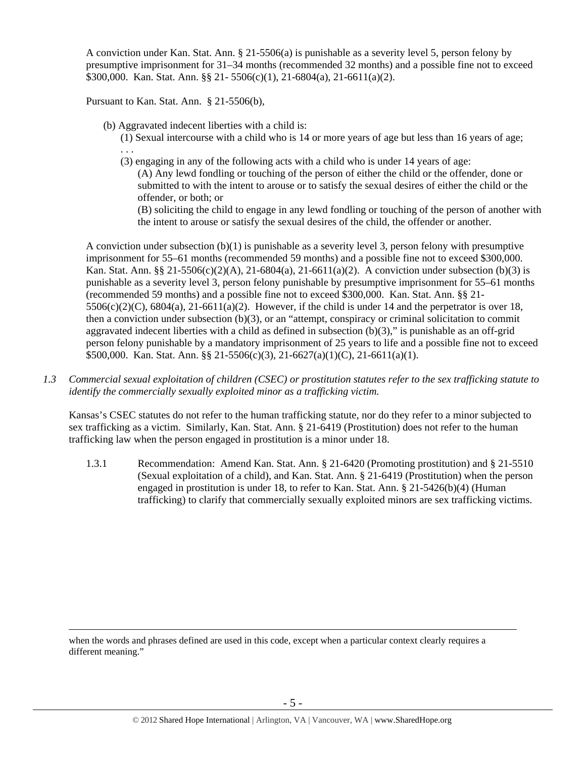A conviction under Kan. Stat. Ann. § 21-5506(a) is punishable as a severity level 5, person felony by presumptive imprisonment for 31–34 months (recommended 32 months) and a possible fine not to exceed \$300,000. Kan. Stat. Ann. §§ 21- 5506(c)(1), 21-6804(a), 21-6611(a)(2).

Pursuant to Kan. Stat. Ann. § 21-5506(b),

(b) Aggravated indecent liberties with a child is:

(1) Sexual intercourse with a child who is 14 or more years of age but less than 16 years of age; . . .

(3) engaging in any of the following acts with a child who is under 14 years of age:

(A) Any lewd fondling or touching of the person of either the child or the offender, done or submitted to with the intent to arouse or to satisfy the sexual desires of either the child or the offender, or both; or

(B) soliciting the child to engage in any lewd fondling or touching of the person of another with the intent to arouse or satisfy the sexual desires of the child, the offender or another.

A conviction under subsection (b)(1) is punishable as a severity level 3, person felony with presumptive imprisonment for 55–61 months (recommended 59 months) and a possible fine not to exceed \$300,000. Kan. Stat. Ann. §§ 21-5506(c)(2)(A), 21-6804(a), 21-6611(a)(2). A conviction under subsection (b)(3) is punishable as a severity level 3, person felony punishable by presumptive imprisonment for 55–61 months (recommended 59 months) and a possible fine not to exceed \$300,000. Kan. Stat. Ann. §§ 21-  $5506(c)(2)(C)$ ,  $6804(a)$ ,  $21-6611(a)(2)$ . However, if the child is under 14 and the perpetrator is over 18, then a conviction under subsection (b)(3), or an "attempt, conspiracy or criminal solicitation to commit aggravated indecent liberties with a child as defined in subsection (b)(3)," is punishable as an off-grid person felony punishable by a mandatory imprisonment of 25 years to life and a possible fine not to exceed \$500,000. Kan. Stat. Ann. §§ 21-5506(c)(3), 21-6627(a)(1)(C), 21-6611(a)(1).

*1.3 Commercial sexual exploitation of children (CSEC) or prostitution statutes refer to the sex trafficking statute to identify the commercially sexually exploited minor as a trafficking victim.* 

Kansas's CSEC statutes do not refer to the human trafficking statute, nor do they refer to a minor subjected to sex trafficking as a victim. Similarly, Kan. Stat. Ann. § 21-6419 (Prostitution) does not refer to the human trafficking law when the person engaged in prostitution is a minor under 18.

1.3.1 Recommendation: Amend Kan. Stat. Ann. § 21-6420 (Promoting prostitution) and § 21-5510 (Sexual exploitation of a child), and Kan. Stat. Ann. § 21-6419 (Prostitution) when the person engaged in prostitution is under 18, to refer to Kan. Stat. Ann. § 21-5426(b)(4) (Human trafficking) to clarify that commercially sexually exploited minors are sex trafficking victims.

 when the words and phrases defined are used in this code, except when a particular context clearly requires a different meaning."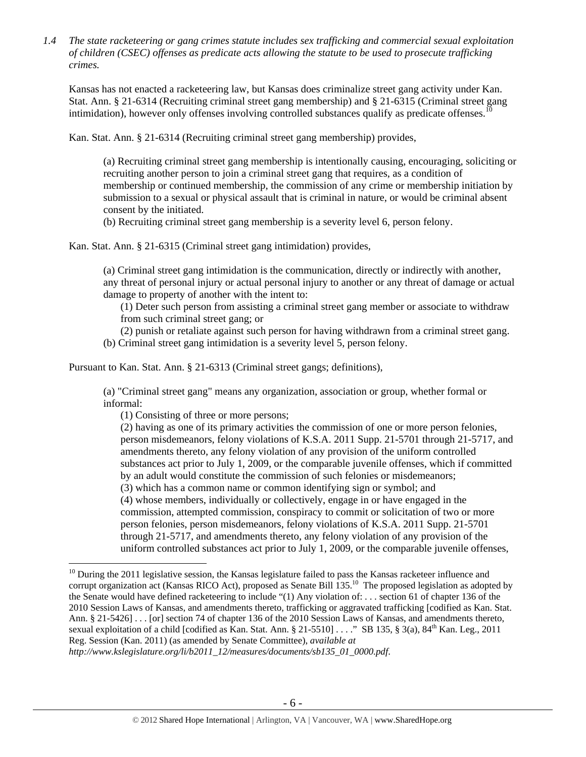*1.4 The state racketeering or gang crimes statute includes sex trafficking and commercial sexual exploitation of children (CSEC) offenses as predicate acts allowing the statute to be used to prosecute trafficking crimes.* 

Kansas has not enacted a racketeering law, but Kansas does criminalize street gang activity under Kan. Stat. Ann. § 21-6314 (Recruiting criminal street gang membership) and § 21-6315 (Criminal street gang intimidation), however only offenses involving controlled substances qualify as predicate offenses.<sup>1</sup>

Kan. Stat. Ann. § 21-6314 (Recruiting criminal street gang membership) provides,

(a) Recruiting criminal street gang membership is intentionally causing, encouraging, soliciting or recruiting another person to join a criminal street gang that requires, as a condition of membership or continued membership, the commission of any crime or membership initiation by submission to a sexual or physical assault that is criminal in nature, or would be criminal absent consent by the initiated.

(b) Recruiting criminal street gang membership is a severity level 6, person felony.

Kan. Stat. Ann. § 21-6315 (Criminal street gang intimidation) provides,

(a) Criminal street gang intimidation is the communication, directly or indirectly with another, any threat of personal injury or actual personal injury to another or any threat of damage or actual damage to property of another with the intent to:

(1) Deter such person from assisting a criminal street gang member or associate to withdraw from such criminal street gang; or

(2) punish or retaliate against such person for having withdrawn from a criminal street gang. (b) Criminal street gang intimidation is a severity level 5, person felony.

Pursuant to Kan. Stat. Ann. § 21-6313 (Criminal street gangs; definitions),

(a) "Criminal street gang" means any organization, association or group, whether formal or informal:

(1) Consisting of three or more persons;

 $\overline{a}$ 

(2) having as one of its primary activities the commission of one or more person felonies, person misdemeanors, felony violations of K.S.A. 2011 Supp. 21-5701 through 21-5717, and amendments thereto, any felony violation of any provision of the uniform controlled substances act prior to July 1, 2009, or the comparable juvenile offenses, which if committed by an adult would constitute the commission of such felonies or misdemeanors;

(3) which has a common name or common identifying sign or symbol; and

(4) whose members, individually or collectively, engage in or have engaged in the commission, attempted commission, conspiracy to commit or solicitation of two or more person felonies, person misdemeanors, felony violations of K.S.A. 2011 Supp. 21-5701 through 21-5717, and amendments thereto, any felony violation of any provision of the uniform controlled substances act prior to July 1, 2009, or the comparable juvenile offenses,

 $10$  During the 2011 legislative session, the Kansas legislature failed to pass the Kansas racketeer influence and corrupt organization act (Kansas RICO Act), proposed as Senate Bill 135.<sup>10</sup> The proposed legislation as adopted by the Senate would have defined racketeering to include "(1) Any violation of: . . . section 61 of chapter 136 of the 2010 Session Laws of Kansas, and amendments thereto, trafficking or aggravated trafficking [codified as Kan. Stat. Ann. § 21-5426] . . . [or] section 74 of chapter 136 of the 2010 Session Laws of Kansas, and amendments thereto, sexual exploitation of a child [codified as Kan. Stat. Ann. § 21-5510] . . . ." SB 135, § 3(a),  $84<sup>th</sup>$  Kan. Leg., 2011 Reg. Session (Kan. 2011) (as amended by Senate Committee), *available at* 

*http://www.kslegislature.org/li/b2011\_12/measures/documents/sb135\_01\_0000.pdf*.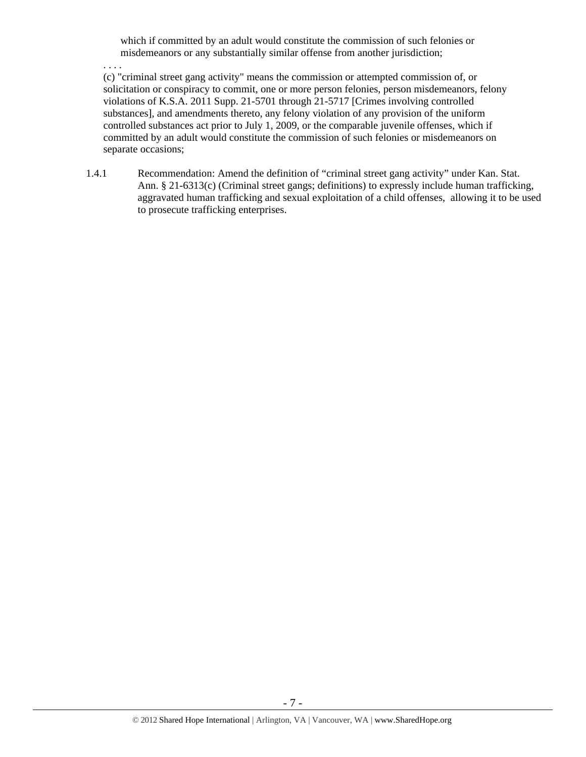which if committed by an adult would constitute the commission of such felonies or misdemeanors or any substantially similar offense from another jurisdiction;

. . . .

(c) "criminal street gang activity" means the commission or attempted commission of, or solicitation or conspiracy to commit, one or more person felonies, person misdemeanors, felony violations of K.S.A. 2011 Supp. 21-5701 through 21-5717 [Crimes involving controlled substances], and amendments thereto, any felony violation of any provision of the uniform controlled substances act prior to July 1, 2009, or the comparable juvenile offenses, which if committed by an adult would constitute the commission of such felonies or misdemeanors on separate occasions;

1.4.1 Recommendation: Amend the definition of "criminal street gang activity" under Kan. Stat. Ann. § 21-6313(c) (Criminal street gangs; definitions) to expressly include human trafficking, aggravated human trafficking and sexual exploitation of a child offenses, allowing it to be used to prosecute trafficking enterprises.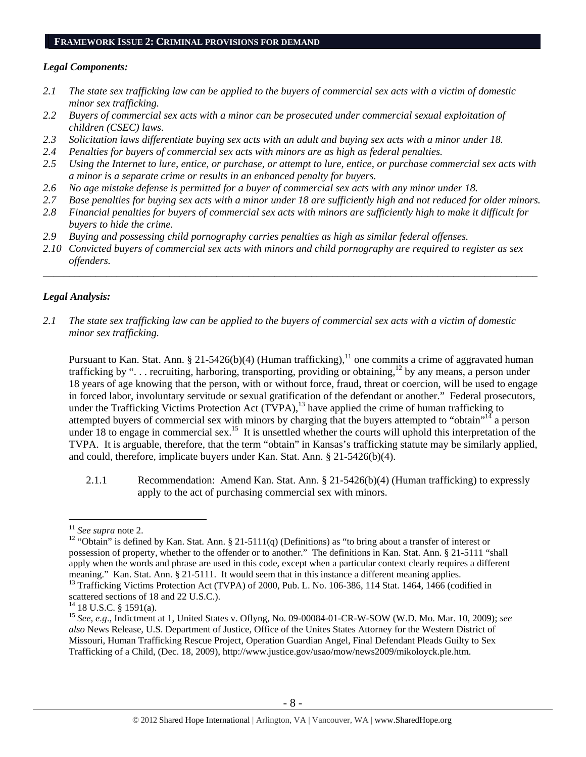#### **FRAMEWORK ISSUE 2: CRIMINAL PROVISIONS FOR DEMAND**

#### *Legal Components:*

- *2.1 The state sex trafficking law can be applied to the buyers of commercial sex acts with a victim of domestic minor sex trafficking.*
- *2.2 Buyers of commercial sex acts with a minor can be prosecuted under commercial sexual exploitation of children (CSEC) laws.*
- *2.3 Solicitation laws differentiate buying sex acts with an adult and buying sex acts with a minor under 18.*
- *2.4 Penalties for buyers of commercial sex acts with minors are as high as federal penalties.*
- *2.5 Using the Internet to lure, entice, or purchase, or attempt to lure, entice, or purchase commercial sex acts with a minor is a separate crime or results in an enhanced penalty for buyers.*
- *2.6 No age mistake defense is permitted for a buyer of commercial sex acts with any minor under 18.*
- *2.7 Base penalties for buying sex acts with a minor under 18 are sufficiently high and not reduced for older minors.*
- *2.8 Financial penalties for buyers of commercial sex acts with minors are sufficiently high to make it difficult for buyers to hide the crime.*
- *2.9 Buying and possessing child pornography carries penalties as high as similar federal offenses.*
- *2.10 Convicted buyers of commercial sex acts with minors and child pornography are required to register as sex offenders.*

\_\_\_\_\_\_\_\_\_\_\_\_\_\_\_\_\_\_\_\_\_\_\_\_\_\_\_\_\_\_\_\_\_\_\_\_\_\_\_\_\_\_\_\_\_\_\_\_\_\_\_\_\_\_\_\_\_\_\_\_\_\_\_\_\_\_\_\_\_\_\_\_\_\_\_\_\_\_\_\_\_\_\_\_\_\_\_\_\_\_\_\_\_\_

## *Legal Analysis:*

*2.1 The state sex trafficking law can be applied to the buyers of commercial sex acts with a victim of domestic minor sex trafficking.* 

Pursuant to Kan. Stat. Ann. § 21-5426(b)(4) (Human trafficking),<sup>11</sup> one commits a crime of aggravated human trafficking by "... recruiting, harboring, transporting, providing or obtaining,<sup>12</sup> by any means, a person under 18 years of age knowing that the person, with or without force, fraud, threat or coercion, will be used to engage in forced labor, involuntary servitude or sexual gratification of the defendant or another." Federal prosecutors, under the Trafficking Victims Protection Act (TVPA),<sup>13</sup> have applied the crime of human trafficking to attempted buyers of commercial sex with minors by charging that the buyers attempted to "obtain"<sup>14</sup> a person under 18 to engage in commercial sex.<sup>15</sup> It is unsettled whether the courts will uphold this interpretation of the TVPA. It is arguable, therefore, that the term "obtain" in Kansas's trafficking statute may be similarly applied, and could, therefore, implicate buyers under Kan. Stat. Ann. § 21-5426(b)(4).

2.1.1 Recommendation: Amend Kan. Stat. Ann. § 21-5426(b)(4) (Human trafficking) to expressly apply to the act of purchasing commercial sex with minors.

<sup>&</sup>lt;sup>11</sup> *See supra* note 2.<br><sup>12</sup> "Obtain" is defined by Kan. Stat. Ann. § 21-5111(q) (Definitions) as "to bring about a transfer of interest or possession of property, whether to the offender or to another." The definitions in Kan. Stat. Ann. § 21-5111 "shall apply when the words and phrase are used in this code, except when a particular context clearly requires a different meaning." Kan. Stat. Ann. § 21-5111. It would seem that in this instance a different meaning applies.

<sup>&</sup>lt;sup>13</sup> Trafficking Victims Protection Act (TVPA) of 2000, Pub. L. No. 106-386, 114 Stat. 1464, 1466 (codified in scattered sections of 18 and 22 U.S.C.).

<sup>&</sup>lt;sup>14</sup> 18 U.S.C. § 1591(a).

<sup>15</sup> *See, e.g*., Indictment at 1, United States v. Oflyng, No. 09-00084-01-CR-W-SOW (W.D. Mo. Mar. 10, 2009); *see also* News Release, U.S. Department of Justice, Office of the Unites States Attorney for the Western District of Missouri, Human Trafficking Rescue Project, Operation Guardian Angel, Final Defendant Pleads Guilty to Sex Trafficking of a Child, (Dec. 18, 2009), http://www.justice.gov/usao/mow/news2009/mikoloyck.ple.htm.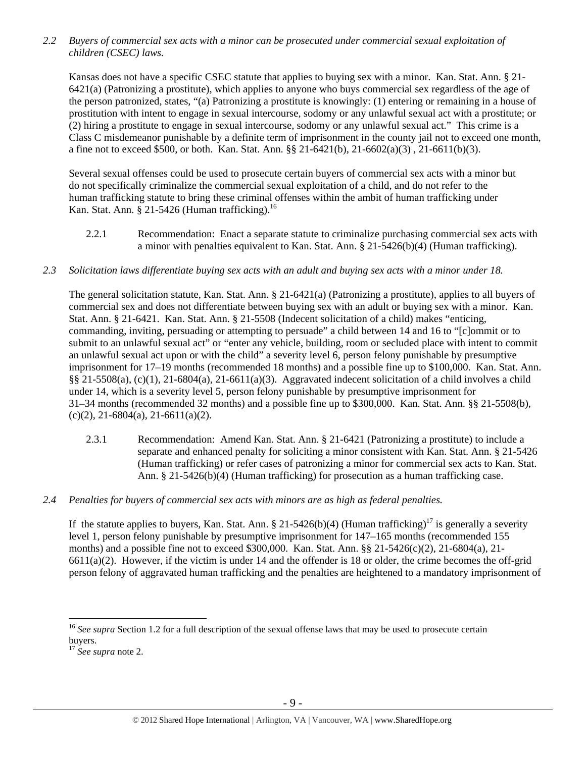*2.2 Buyers of commercial sex acts with a minor can be prosecuted under commercial sexual exploitation of children (CSEC) laws.* 

Kansas does not have a specific CSEC statute that applies to buying sex with a minor. Kan. Stat. Ann. § 21- 6421(a) (Patronizing a prostitute), which applies to anyone who buys commercial sex regardless of the age of the person patronized, states, "(a) Patronizing a prostitute is knowingly: (1) entering or remaining in a house of prostitution with intent to engage in sexual intercourse, sodomy or any unlawful sexual act with a prostitute; or (2) hiring a prostitute to engage in sexual intercourse, sodomy or any unlawful sexual act." This crime is a Class C misdemeanor punishable by a definite term of imprisonment in the county jail not to exceed one month, a fine not to exceed \$500, or both. Kan. Stat. Ann. §§ 21-6421(b), 21-6602(a)(3) , 21-6611(b)(3).

Several sexual offenses could be used to prosecute certain buyers of commercial sex acts with a minor but do not specifically criminalize the commercial sexual exploitation of a child, and do not refer to the human trafficking statute to bring these criminal offenses within the ambit of human trafficking under Kan. Stat. Ann. § 21-5426 (Human trafficking). $16$ 

- 2.2.1 Recommendation: Enact a separate statute to criminalize purchasing commercial sex acts with a minor with penalties equivalent to Kan. Stat. Ann. § 21-5426(b)(4) (Human trafficking).
- *2.3 Solicitation laws differentiate buying sex acts with an adult and buying sex acts with a minor under 18.*

The general solicitation statute, Kan. Stat. Ann. § 21-6421(a) (Patronizing a prostitute), applies to all buyers of commercial sex and does not differentiate between buying sex with an adult or buying sex with a minor. Kan. Stat. Ann. § 21-6421. Kan. Stat. Ann. § 21-5508 (Indecent solicitation of a child) makes "enticing, commanding, inviting, persuading or attempting to persuade" a child between 14 and 16 to "[c]ommit or to submit to an unlawful sexual act" or "enter any vehicle, building, room or secluded place with intent to commit an unlawful sexual act upon or with the child" a severity level 6, person felony punishable by presumptive imprisonment for 17–19 months (recommended 18 months) and a possible fine up to \$100,000. Kan. Stat. Ann. §§ 21-5508(a), (c)(1), 21-6804(a), 21-6611(a)(3). Aggravated indecent solicitation of a child involves a child under 14, which is a severity level 5, person felony punishable by presumptive imprisonment for 31–34 months (recommended 32 months) and a possible fine up to \$300,000. Kan. Stat. Ann. §§ 21-5508(b),  $(c)(2)$ , 21-6804(a), 21-6611(a)(2).

- 2.3.1 Recommendation: Amend Kan. Stat. Ann. § 21-6421 (Patronizing a prostitute) to include a separate and enhanced penalty for soliciting a minor consistent with Kan. Stat. Ann. § 21-5426 (Human trafficking) or refer cases of patronizing a minor for commercial sex acts to Kan. Stat. Ann. § 21-5426(b)(4) (Human trafficking) for prosecution as a human trafficking case.
- *2.4 Penalties for buyers of commercial sex acts with minors are as high as federal penalties.*

If the statute applies to buyers, Kan. Stat. Ann. § 21-5426(b)(4) (Human trafficking)<sup>17</sup> is generally a severity level 1, person felony punishable by presumptive imprisonment for 147–165 months (recommended 155 months) and a possible fine not to exceed \$300,000. Kan. Stat. Ann. §§ 21-5426(c)(2), 21-6804(a), 21-  $6611(a)(2)$ . However, if the victim is under 14 and the offender is 18 or older, the crime becomes the off-grid person felony of aggravated human trafficking and the penalties are heightened to a mandatory imprisonment of

<sup>&</sup>lt;sup>16</sup> See supra Section 1.2 for a full description of the sexual offense laws that may be used to prosecute certain buyers.

<sup>17</sup> *See supra* note 2.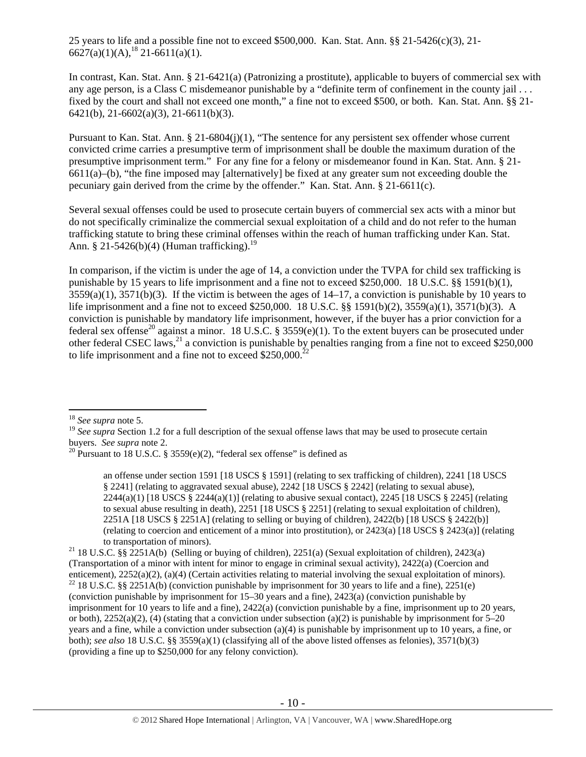25 years to life and a possible fine not to exceed \$500,000. Kan. Stat. Ann. §§ 21-5426(c)(3), 21-  $6627(a)(1)(A)$ ,  $^{18}$  21-6611(a)(1).

In contrast, Kan. Stat. Ann. § 21-6421(a) (Patronizing a prostitute), applicable to buyers of commercial sex with any age person, is a Class C misdemeanor punishable by a "definite term of confinement in the county jail . . . fixed by the court and shall not exceed one month," a fine not to exceed \$500, or both. Kan. Stat. Ann. §§ 21- 6421(b), 21-6602(a)(3), 21-6611(b)(3).

Pursuant to Kan. Stat. Ann. § 21-6804(j)(1), "The sentence for any persistent sex offender whose current convicted crime carries a presumptive term of imprisonment shall be double the maximum duration of the presumptive imprisonment term." For any fine for a felony or misdemeanor found in Kan. Stat. Ann. § 21- 6611(a)–(b), "the fine imposed may [alternatively] be fixed at any greater sum not exceeding double the pecuniary gain derived from the crime by the offender." Kan. Stat. Ann. § 21-6611(c).

Several sexual offenses could be used to prosecute certain buyers of commercial sex acts with a minor but do not specifically criminalize the commercial sexual exploitation of a child and do not refer to the human trafficking statute to bring these criminal offenses within the reach of human trafficking under Kan. Stat. Ann. § 21-5426(b)(4) (Human trafficking).<sup>19</sup>

In comparison, if the victim is under the age of 14, a conviction under the TVPA for child sex trafficking is punishable by 15 years to life imprisonment and a fine not to exceed \$250,000. 18 U.S.C. §§ 1591(b)(1),  $3559(a)(1)$ ,  $3571(b)(3)$ . If the victim is between the ages of  $14-17$ , a conviction is punishable by 10 years to life imprisonment and a fine not to exceed \$250,000. 18 U.S.C. §§ 1591(b)(2), 3559(a)(1), 3571(b)(3). A conviction is punishable by mandatory life imprisonment, however, if the buyer has a prior conviction for a federal sex offense<sup>20</sup> against a minor. 18 U.S.C. § 3559(e)(1). To the extent buyers can be prosecuted under other federal CSEC laws,  $^{21}$  a conviction is punishable by penalties ranging from a fine not to exceed \$250,000 to life imprisonment and a fine not to exceed  $$250,000.<sup>22</sup>$ 

<sup>18</sup> *See supra* note 5.

<sup>&</sup>lt;sup>19</sup> *See supra* Section 1.2 for a full description of the sexual offense laws that may be used to prosecute certain buyers. *See supra* note 2.

<sup>&</sup>lt;sup>20</sup> Pursuant to 18 U.S.C. § 3559(e)(2), "federal sex offense" is defined as

an offense under section 1591 [18 USCS § 1591] (relating to sex trafficking of children), 2241 [18 USCS § 2241] (relating to aggravated sexual abuse), 2242 [18 USCS § 2242] (relating to sexual abuse),  $2244(a)(1)$  [18 USCS §  $2244(a)(1)$ ] (relating to abusive sexual contact),  $2245$  [18 USCS § 2245] (relating to sexual abuse resulting in death), 2251 [18 USCS § 2251] (relating to sexual exploitation of children), 2251A [18 USCS § 2251A] (relating to selling or buying of children), 2422(b) [18 USCS § 2422(b)] (relating to coercion and enticement of a minor into prostitution), or 2423(a) [18 USCS § 2423(a)] (relating to transportation of minors).<br><sup>21</sup> 18 U.S.C. §§ 2251A(b) (Selling or buying of children), 2251(a) (Sexual exploitation of children), 2423(a)

<sup>(</sup>Transportation of a minor with intent for minor to engage in criminal sexual activity),  $2422(a)$  (Coercion and enticement),  $2252(a)(2)$ ,  $(a)(4)$  (Certain activities relating to material involving the sexual exploitation of <sup>22</sup> 18 U.S.C. §§ 2251A(b) (conviction punishable by imprisonment for 30 years to life and a fine), 2251(e) (conviction punishable by imprisonment for 15–30 years and a fine), 2423(a) (conviction punishable by imprisonment for 10 years to life and a fine), 2422(a) (conviction punishable by a fine, imprisonment up to 20 years, or both),  $2252(a)(2)$ , (4) (stating that a conviction under subsection (a)(2) is punishable by imprisonment for 5–20 years and a fine, while a conviction under subsection (a)(4) is punishable by imprisonment up to 10 years, a fine, or both); *see also* 18 U.S.C. §§ 3559(a)(1) (classifying all of the above listed offenses as felonies), 3571(b)(3) (providing a fine up to \$250,000 for any felony conviction).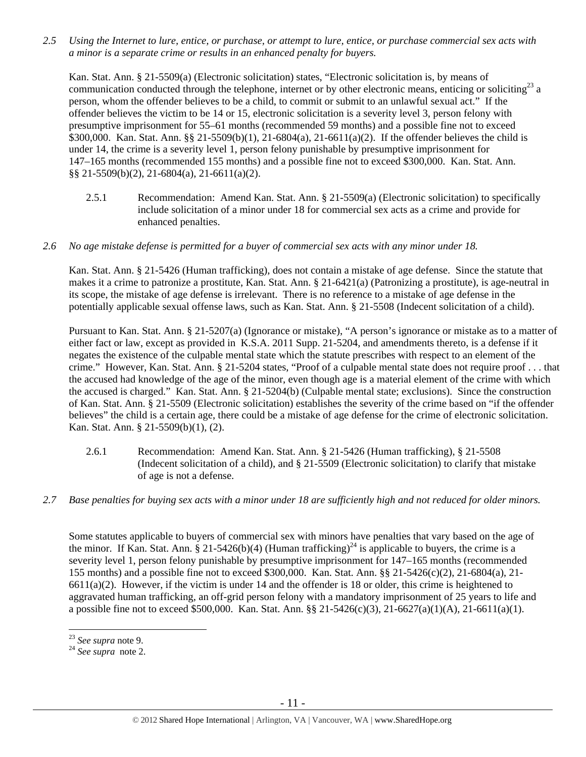*2.5 Using the Internet to lure, entice, or purchase, or attempt to lure, entice, or purchase commercial sex acts with a minor is a separate crime or results in an enhanced penalty for buyers.* 

Kan. Stat. Ann. § 21-5509(a) (Electronic solicitation) states, "Electronic solicitation is, by means of communication conducted through the telephone, internet or by other electronic means, enticing or soliciting $^{23}$  a person, whom the offender believes to be a child, to commit or submit to an unlawful sexual act." If the offender believes the victim to be 14 or 15, electronic solicitation is a severity level 3, person felony with presumptive imprisonment for 55–61 months (recommended 59 months) and a possible fine not to exceed \$300,000. Kan. Stat. Ann. §§ 21-5509(b)(1), 21-6804(a), 21-6611(a)(2). If the offender believes the child is under 14, the crime is a severity level 1, person felony punishable by presumptive imprisonment for 147–165 months (recommended 155 months) and a possible fine not to exceed \$300,000. Kan. Stat. Ann. §§ 21-5509(b)(2), 21-6804(a), 21-6611(a)(2).

- 2.5.1 Recommendation: Amend Kan. Stat. Ann. § 21-5509(a) (Electronic solicitation) to specifically include solicitation of a minor under 18 for commercial sex acts as a crime and provide for enhanced penalties.
- *2.6 No age mistake defense is permitted for a buyer of commercial sex acts with any minor under 18.*

Kan. Stat. Ann. § 21-5426 (Human trafficking), does not contain a mistake of age defense. Since the statute that makes it a crime to patronize a prostitute, Kan. Stat. Ann. § 21-6421(a) (Patronizing a prostitute), is age-neutral in its scope, the mistake of age defense is irrelevant. There is no reference to a mistake of age defense in the potentially applicable sexual offense laws, such as Kan. Stat. Ann. § 21-5508 (Indecent solicitation of a child).

Pursuant to Kan. Stat. Ann. § 21-5207(a) (Ignorance or mistake), "A person's ignorance or mistake as to a matter of either fact or law, except as provided in K.S.A. 2011 Supp. 21-5204, and amendments thereto, is a defense if it negates the existence of the culpable mental state which the statute prescribes with respect to an element of the crime." However, Kan. Stat. Ann. § 21-5204 states, "Proof of a culpable mental state does not require proof . . . that the accused had knowledge of the age of the minor, even though age is a material element of the crime with which the accused is charged." Kan. Stat. Ann. § 21-5204(b) (Culpable mental state; exclusions). Since the construction of Kan. Stat. Ann. § 21-5509 (Electronic solicitation) establishes the severity of the crime based on "if the offender believes" the child is a certain age, there could be a mistake of age defense for the crime of electronic solicitation. Kan. Stat. Ann. § 21-5509(b)(1), (2).

- 2.6.1 Recommendation: Amend Kan. Stat. Ann. § 21-5426 (Human trafficking), § 21-5508 (Indecent solicitation of a child), and  $\S$  21-5509 (Electronic solicitation) to clarify that mistake of age is not a defense.
- *2.7 Base penalties for buying sex acts with a minor under 18 are sufficiently high and not reduced for older minors.*

Some statutes applicable to buyers of commercial sex with minors have penalties that vary based on the age of the minor. If Kan. Stat. Ann. § 21-5426(b)(4) (Human trafficking)<sup>24</sup> is applicable to buyers, the crime is a severity level 1, person felony punishable by presumptive imprisonment for 147–165 months (recommended 155 months) and a possible fine not to exceed \$300,000. Kan. Stat. Ann. §§ 21-5426(c)(2), 21-6804(a), 21-  $6611(a)(2)$ . However, if the victim is under 14 and the offender is 18 or older, this crime is heightened to aggravated human trafficking, an off-grid person felony with a mandatory imprisonment of 25 years to life and a possible fine not to exceed \$500,000. Kan. Stat. Ann. §§ 21-5426(c)(3), 21-6627(a)(1)(A), 21-6611(a)(1).

<sup>23</sup> *See supra* note 9. 24 *See supra* note 2.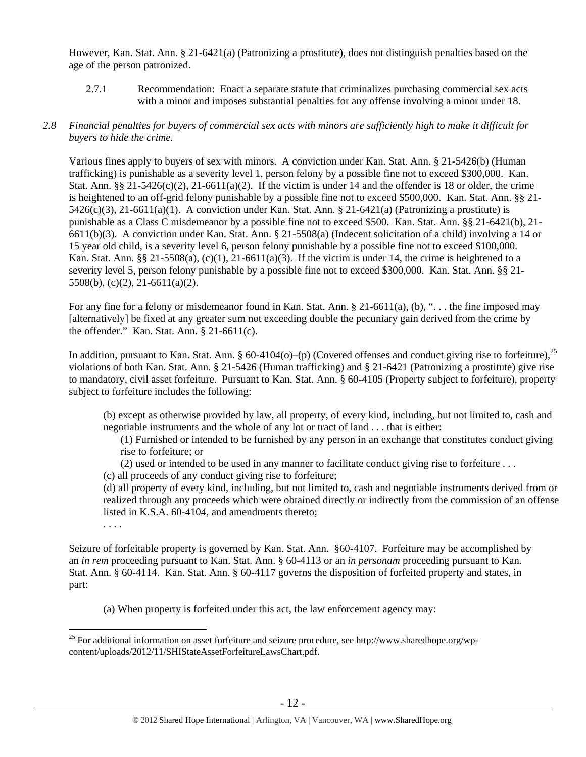However, Kan. Stat. Ann. § 21-6421(a) (Patronizing a prostitute), does not distinguish penalties based on the age of the person patronized.

2.7.1 Recommendation: Enact a separate statute that criminalizes purchasing commercial sex acts with a minor and imposes substantial penalties for any offense involving a minor under 18.

#### *2.8 Financial penalties for buyers of commercial sex acts with minors are sufficiently high to make it difficult for buyers to hide the crime.*

Various fines apply to buyers of sex with minors. A conviction under Kan. Stat. Ann. § 21-5426(b) (Human trafficking) is punishable as a severity level 1, person felony by a possible fine not to exceed \$300,000. Kan. Stat. Ann.  $\S$ § 21-5426(c)(2), 21-6611(a)(2). If the victim is under 14 and the offender is 18 or older, the crime is heightened to an off-grid felony punishable by a possible fine not to exceed \$500,000. Kan. Stat. Ann. §§ 21-  $5426(c)(3)$ ,  $21-6611(a)(1)$ . A conviction under Kan. Stat. Ann. § 21-6421(a) (Patronizing a prostitute) is punishable as a Class C misdemeanor by a possible fine not to exceed \$500. Kan. Stat. Ann. §§ 21-6421(b), 21- 6611(b)(3). A conviction under Kan. Stat. Ann. § 21-5508(a) (Indecent solicitation of a child) involving a 14 or 15 year old child, is a severity level 6, person felony punishable by a possible fine not to exceed \$100,000. Kan. Stat. Ann. §§ 21-5508(a),  $(c)(1)$ , 21-6611(a)(3). If the victim is under 14, the crime is heightened to a severity level 5, person felony punishable by a possible fine not to exceed \$300,000. Kan. Stat. Ann. §§ 21- 5508(b), (c)(2), 21-6611(a)(2).

For any fine for a felony or misdemeanor found in Kan. Stat. Ann. § 21-6611(a), (b), "... the fine imposed may [alternatively] be fixed at any greater sum not exceeding double the pecuniary gain derived from the crime by the offender." Kan. Stat. Ann. § 21-6611(c).

In addition, pursuant to Kan. Stat. Ann. § 60-4104(o)–(p) (Covered offenses and conduct giving rise to forfeiture).<sup>25</sup> violations of both Kan. Stat. Ann. § 21-5426 (Human trafficking) and § 21-6421 (Patronizing a prostitute) give rise to mandatory, civil asset forfeiture. Pursuant to Kan. Stat. Ann. § 60-4105 (Property subject to forfeiture), property subject to forfeiture includes the following:

(b) except as otherwise provided by law, all property, of every kind, including, but not limited to, cash and negotiable instruments and the whole of any lot or tract of land . . . that is either:

(1) Furnished or intended to be furnished by any person in an exchange that constitutes conduct giving rise to forfeiture; or

(2) used or intended to be used in any manner to facilitate conduct giving rise to forfeiture . . .

(c) all proceeds of any conduct giving rise to forfeiture;

(d) all property of every kind, including, but not limited to, cash and negotiable instruments derived from or realized through any proceeds which were obtained directly or indirectly from the commission of an offense listed in K.S.A. 60-4104, and amendments thereto;

. . . .

 $\overline{a}$ 

Seizure of forfeitable property is governed by Kan. Stat. Ann. §60-4107. Forfeiture may be accomplished by an *in rem* proceeding pursuant to Kan. Stat. Ann. § 60-4113 or an *in personam* proceeding pursuant to Kan. Stat. Ann. § 60-4114. Kan. Stat. Ann. § 60-4117 governs the disposition of forfeited property and states, in part:

(a) When property is forfeited under this act, the law enforcement agency may:

<sup>&</sup>lt;sup>25</sup> For additional information on asset forfeiture and seizure procedure, see http://www.sharedhope.org/wpcontent/uploads/2012/11/SHIStateAssetForfeitureLawsChart.pdf.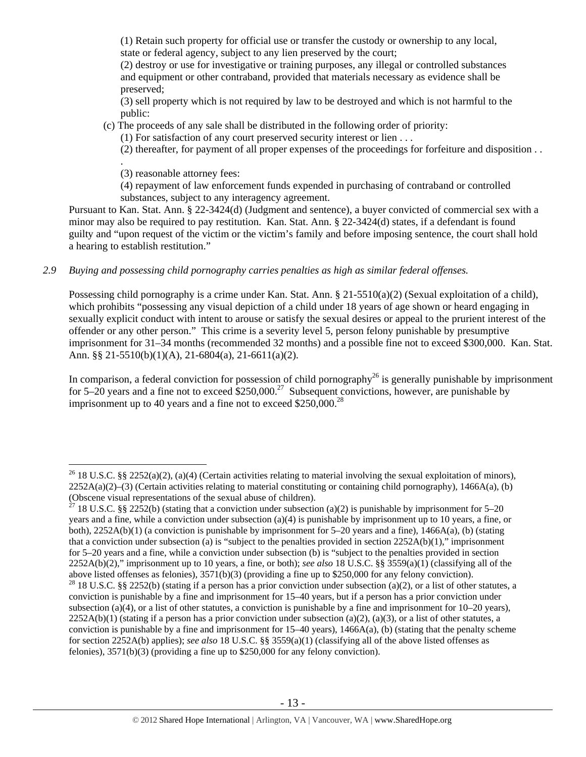(1) Retain such property for official use or transfer the custody or ownership to any local, state or federal agency, subject to any lien preserved by the court;

(2) destroy or use for investigative or training purposes, any illegal or controlled substances and equipment or other contraband, provided that materials necessary as evidence shall be preserved;

(3) sell property which is not required by law to be destroyed and which is not harmful to the public:

(c) The proceeds of any sale shall be distributed in the following order of priority:

(1) For satisfaction of any court preserved security interest or lien . . .

(2) thereafter, for payment of all proper expenses of the proceedings for forfeiture and disposition . .

. (3) reasonable attorney fees:

 $\overline{a}$ 

(4) repayment of law enforcement funds expended in purchasing of contraband or controlled substances, subject to any interagency agreement.

Pursuant to Kan. Stat. Ann. § 22-3424(d) (Judgment and sentence), a buyer convicted of commercial sex with a minor may also be required to pay restitution. Kan. Stat. Ann. § 22-3424(d) states, if a defendant is found guilty and "upon request of the victim or the victim's family and before imposing sentence, the court shall hold a hearing to establish restitution."

## *2.9 Buying and possessing child pornography carries penalties as high as similar federal offenses.*

Possessing child pornography is a crime under Kan. Stat. Ann. § 21-5510(a)(2) (Sexual exploitation of a child), which prohibits "possessing any visual depiction of a child under 18 years of age shown or heard engaging in sexually explicit conduct with intent to arouse or satisfy the sexual desires or appeal to the prurient interest of the offender or any other person." This crime is a severity level 5, person felony punishable by presumptive imprisonment for 31–34 months (recommended 32 months) and a possible fine not to exceed \$300,000. Kan. Stat. Ann. §§ 21-5510(b)(1)(A), 21-6804(a), 21-6611(a)(2).

In comparison, a federal conviction for possession of child pornography<sup>26</sup> is generally punishable by imprisonment for 5–20 years and a fine not to exceed  $\frac{250,000^{27}}{250,000^{27}}$  Subsequent convictions, however, are punishable by imprisonment up to 40 years and a fine not to exceed  $$250,000.<sup>28</sup>$ 

<sup>&</sup>lt;sup>26</sup> 18 U.S.C. §§ 2252(a)(2), (a)(4) (Certain activities relating to material involving the sexual exploitation of minors),  $2252A(a)(2)$ –(3) (Certain activities relating to material constituting or containing child pornography), 1466A(a), (b) (Obscene visual representations of the sexual abuse of children).

<sup>&</sup>lt;sup>27</sup> 18 U.S.C. §§ 2252(b) (stating that a conviction under subsection (a)(2) is punishable by imprisonment for 5–20 years and a fine, while a conviction under subsection (a)(4) is punishable by imprisonment up to 10 years, a fine, or both), 2252A(b)(1) (a conviction is punishable by imprisonment for 5–20 years and a fine), 1466A(a), (b) (stating that a conviction under subsection (a) is "subject to the penalties provided in section  $2252A(b)(1)$ ," imprisonment for 5–20 years and a fine, while a conviction under subsection (b) is "subject to the penalties provided in section 2252A(b)(2)," imprisonment up to 10 years, a fine, or both); *see also* 18 U.S.C. §§ 3559(a)(1) (classifying all of the above listed offenses as felonies), 3571(b)(3) (providing a fine up to \$250,000 for any felony conviction). <sup>28</sup> 18 U.S.C. §§ 2252(b) (stating if a person has a prior conviction under subsection (a)(2), or a list of other statutes, a conviction is punishable by a fine and imprisonment for 15–40 years, but if a person has a prior conviction under subsection (a)(4), or a list of other statutes, a conviction is punishable by a fine and imprisonment for  $10-20$  years),  $2252A(b)(1)$  (stating if a person has a prior conviction under subsection (a)(2), (a)(3), or a list of other statutes, a conviction is punishable by a fine and imprisonment for  $15-40$  years),  $1466A(a)$ , (b) (stating that the penalty scheme for section 2252A(b) applies); *see also* 18 U.S.C. §§ 3559(a)(1) (classifying all of the above listed offenses as felonies), 3571(b)(3) (providing a fine up to \$250,000 for any felony conviction).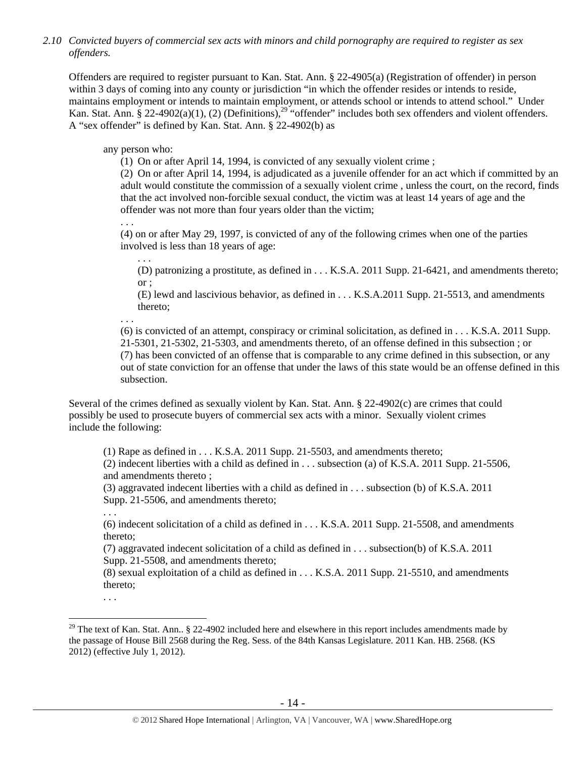*2.10 Convicted buyers of commercial sex acts with minors and child pornography are required to register as sex offenders.* 

Offenders are required to register pursuant to Kan. Stat. Ann. § 22-4905(a) (Registration of offender) in person within 3 days of coming into any county or jurisdiction "in which the offender resides or intends to reside, maintains employment or intends to maintain employment, or attends school or intends to attend school." Under Kan. Stat. Ann. § 22-4902(a)(1), (2) (Definitions),<sup>29</sup> "offender" includes both sex offenders and violent offenders. A "sex offender" is defined by Kan. Stat. Ann. § 22-4902(b) as

any person who:

(1) On or after April 14, 1994, is convicted of any sexually violent crime ;

(2) On or after April 14, 1994, is adjudicated as a juvenile offender for an act which if committed by an adult would constitute the commission of a sexually violent crime , unless the court, on the record, finds that the act involved non-forcible sexual conduct, the victim was at least 14 years of age and the offender was not more than four years older than the victim;

. . .

. . .

(4) on or after May 29, 1997, is convicted of any of the following crimes when one of the parties involved is less than 18 years of age:

(D) patronizing a prostitute, as defined in . . . K.S.A. 2011 Supp. 21-6421, and amendments thereto; or ;

(E) lewd and lascivious behavior, as defined in . . . K.S.A.2011 Supp. 21-5513, and amendments thereto;

. . .

(6) is convicted of an attempt, conspiracy or criminal solicitation, as defined in . . . K.S.A. 2011 Supp. 21-5301, 21-5302, 21-5303, and amendments thereto, of an offense defined in this subsection ; or (7) has been convicted of an offense that is comparable to any crime defined in this subsection, or any out of state conviction for an offense that under the laws of this state would be an offense defined in this subsection.

Several of the crimes defined as sexually violent by Kan. Stat. Ann. § 22-4902(c) are crimes that could possibly be used to prosecute buyers of commercial sex acts with a minor. Sexually violent crimes include the following:

(1) Rape as defined in  $\dots$  K.S.A. 2011 Supp. 21-5503, and amendments thereto;

(2) indecent liberties with a child as defined in . . . subsection (a) of K.S.A. 2011 Supp. 21-5506, and amendments thereto ;

(3) aggravated indecent liberties with a child as defined in . . . subsection (b) of K.S.A. 2011 Supp. 21-5506, and amendments thereto;

. . .

(6) indecent solicitation of a child as defined in . . . K.S.A. 2011 Supp. 21-5508, and amendments thereto;

(7) aggravated indecent solicitation of a child as defined in . . . subsection(b) of K.S.A. 2011 Supp. 21-5508, and amendments thereto;

(8) sexual exploitation of a child as defined in . . . K.S.A. 2011 Supp. 21-5510, and amendments thereto;

. . .

<sup>&</sup>lt;sup>29</sup> The text of Kan. Stat. Ann.. § 22-4902 included here and elsewhere in this report includes amendments made by the passage of House Bill 2568 during the Reg. Sess. of the 84th Kansas Legislature. 2011 Kan. HB. 2568. (KS 2012) (effective July 1, 2012).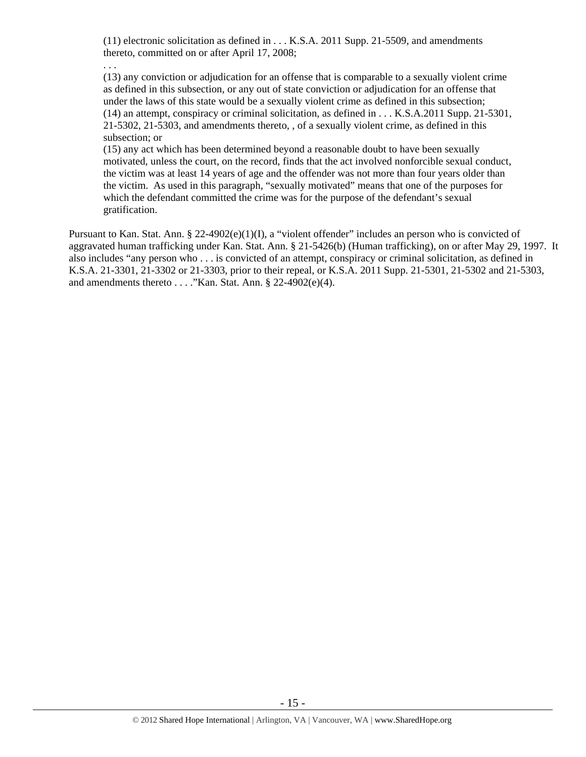(11) electronic solicitation as defined in . . . K.S.A. 2011 Supp. 21-5509, and amendments thereto, committed on or after April 17, 2008;

. . .

(13) any conviction or adjudication for an offense that is comparable to a sexually violent crime as defined in this subsection, or any out of state conviction or adjudication for an offense that under the laws of this state would be a sexually violent crime as defined in this subsection; (14) an attempt, conspiracy or criminal solicitation, as defined in . . . K.S.A.2011 Supp. 21-5301, 21-5302, 21-5303, and amendments thereto, , of a sexually violent crime, as defined in this subsection; or

(15) any act which has been determined beyond a reasonable doubt to have been sexually motivated, unless the court, on the record, finds that the act involved nonforcible sexual conduct, the victim was at least 14 years of age and the offender was not more than four years older than the victim. As used in this paragraph, "sexually motivated" means that one of the purposes for which the defendant committed the crime was for the purpose of the defendant's sexual gratification.

Pursuant to Kan. Stat. Ann. § 22-4902(e)(1)(I), a "violent offender" includes an person who is convicted of aggravated human trafficking under Kan. Stat. Ann. § 21-5426(b) (Human trafficking), on or after May 29, 1997. It also includes "any person who . . . is convicted of an attempt, conspiracy or criminal solicitation, as defined in K.S.A. 21-3301, 21-3302 or 21-3303, prior to their repeal, or K.S.A. 2011 Supp. 21-5301, 21-5302 and 21-5303, and amendments thereto . . . ."Kan. Stat. Ann. § 22-4902(e)(4).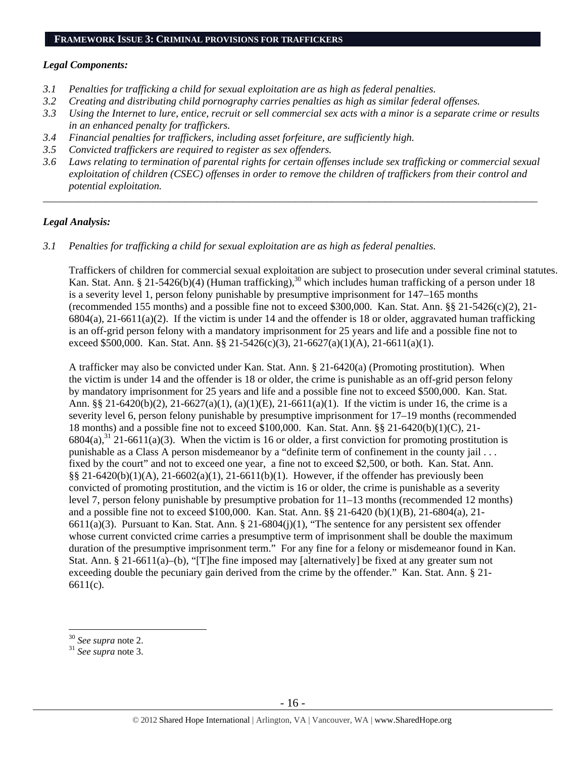## **FRAMEWORK ISSUE 3: CRIMINAL PROVISIONS FOR TRAFFICKERS**

#### *Legal Components:*

- *3.1 Penalties for trafficking a child for sexual exploitation are as high as federal penalties.*
- *3.2 Creating and distributing child pornography carries penalties as high as similar federal offenses.*
- *3.3 Using the Internet to lure, entice, recruit or sell commercial sex acts with a minor is a separate crime or results in an enhanced penalty for traffickers.*
- *3.4 Financial penalties for traffickers, including asset forfeiture, are sufficiently high.*
- *3.5 Convicted traffickers are required to register as sex offenders.*
- *3.6 Laws relating to termination of parental rights for certain offenses include sex trafficking or commercial sexual exploitation of children (CSEC) offenses in order to remove the children of traffickers from their control and potential exploitation.*

*\_\_\_\_\_\_\_\_\_\_\_\_\_\_\_\_\_\_\_\_\_\_\_\_\_\_\_\_\_\_\_\_\_\_\_\_\_\_\_\_\_\_\_\_\_\_\_\_\_\_\_\_\_\_\_\_\_\_\_\_\_\_\_\_\_\_\_\_\_\_\_\_\_\_\_\_\_\_\_\_\_\_\_\_\_\_\_\_\_\_\_\_\_\_* 

#### *Legal Analysis:*

*3.1 Penalties for trafficking a child for sexual exploitation are as high as federal penalties.* 

Traffickers of children for commercial sexual exploitation are subject to prosecution under several criminal statutes. Kan. Stat. Ann. § 21-5426(b)(4) (Human trafficking),<sup>30</sup> which includes human trafficking of a person under 18 is a severity level 1, person felony punishable by presumptive imprisonment for 147–165 months (recommended 155 months) and a possible fine not to exceed \$300,000. Kan. Stat. Ann. §§ 21-5426(c)(2), 21-  $6804(a)$ , 21-6611(a)(2). If the victim is under 14 and the offender is 18 or older, aggravated human trafficking is an off-grid person felony with a mandatory imprisonment for 25 years and life and a possible fine not to exceed \$500,000. Kan. Stat. Ann. §§ 21-5426(c)(3), 21-6627(a)(1)(A), 21-6611(a)(1).

A trafficker may also be convicted under Kan. Stat. Ann. § 21-6420(a) (Promoting prostitution). When the victim is under 14 and the offender is 18 or older, the crime is punishable as an off-grid person felony by mandatory imprisonment for 25 years and life and a possible fine not to exceed \$500,000. Kan. Stat. Ann. §§ 21-6420(b)(2), 21-6627(a)(1), (a)(1)(E), 21-6611(a)(1). If the victim is under 16, the crime is a severity level 6, person felony punishable by presumptive imprisonment for 17–19 months (recommended 18 months) and a possible fine not to exceed \$100,000. Kan. Stat. Ann. §§ 21-6420(b)(1)(C), 21- 6804(a),<sup>31</sup> 21-6611(a)(3). When the victim is 16 or older, a first conviction for promoting prostitution is punishable as a Class A person misdemeanor by a "definite term of confinement in the county jail . . . fixed by the court" and not to exceed one year, a fine not to exceed \$2,500, or both. Kan. Stat. Ann.  $\S$ § 21-6420(b)(1)(A), 21-6602(a)(1), 21-6611(b)(1). However, if the offender has previously been convicted of promoting prostitution, and the victim is 16 or older, the crime is punishable as a severity level 7, person felony punishable by presumptive probation for 11–13 months (recommended 12 months) and a possible fine not to exceed \$100,000. Kan. Stat. Ann. §§ 21-6420 (b)(1)(B), 21-6804(a), 21- 6611(a)(3). Pursuant to Kan. Stat. Ann. § 21-6804(j)(1), "The sentence for any persistent sex offender whose current convicted crime carries a presumptive term of imprisonment shall be double the maximum duration of the presumptive imprisonment term." For any fine for a felony or misdemeanor found in Kan. Stat. Ann. § 21-6611(a)–(b), "[T]he fine imposed may [alternatively] be fixed at any greater sum not exceeding double the pecuniary gain derived from the crime by the offender." Kan. Stat. Ann. § 21-6611(c).

<sup>30</sup> *See supra* note 2. 31 *See supra* note 3.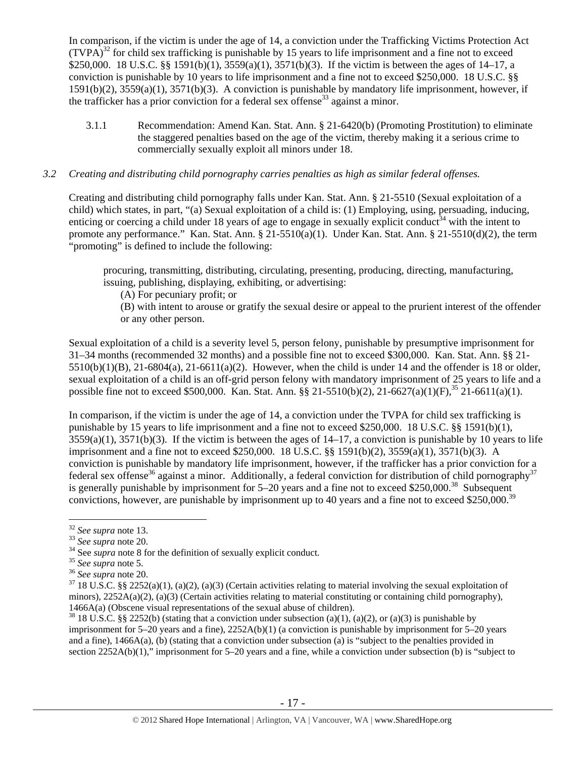In comparison, if the victim is under the age of 14, a conviction under the Trafficking Victims Protection Act  $(TVPA)^{32}$  for child sex trafficking is punishable by 15 years to life imprisonment and a fine not to exceed \$250,000. 18 U.S.C. §§ 1591(b)(1), 3559(a)(1), 3571(b)(3). If the victim is between the ages of 14–17, a conviction is punishable by 10 years to life imprisonment and a fine not to exceed \$250,000. 18 U.S.C. §§ 1591(b)(2), 3559(a)(1), 3571(b)(3). A conviction is punishable by mandatory life imprisonment, however, if the trafficker has a prior conviction for a federal sex offense<sup>33</sup> against a minor.

3.1.1 Recommendation: Amend Kan. Stat. Ann. § 21-6420(b) (Promoting Prostitution) to eliminate the staggered penalties based on the age of the victim, thereby making it a serious crime to commercially sexually exploit all minors under 18.

#### *3.2 Creating and distributing child pornography carries penalties as high as similar federal offenses.*

Creating and distributing child pornography falls under Kan. Stat. Ann. § 21-5510 (Sexual exploitation of a child) which states, in part, "(a) Sexual exploitation of a child is: (1) Employing, using, persuading, inducing, enticing or coercing a child under 18 years of age to engage in sexually explicit conduct<sup>34</sup> with the intent to promote any performance." Kan. Stat. Ann. § 21-5510(a)(1). Under Kan. Stat. Ann. § 21-5510(d)(2), the term "promoting" is defined to include the following:

procuring, transmitting, distributing, circulating, presenting, producing, directing, manufacturing, issuing, publishing, displaying, exhibiting, or advertising:

(A) For pecuniary profit; or

(B) with intent to arouse or gratify the sexual desire or appeal to the prurient interest of the offender or any other person.

Sexual exploitation of a child is a severity level 5, person felony, punishable by presumptive imprisonment for 31–34 months (recommended 32 months) and a possible fine not to exceed \$300,000. Kan. Stat. Ann. §§ 21-  $5510(b)(1)(B)$ ,  $21-6804(a)$ ,  $21-6611(a)(2)$ . However, when the child is under 14 and the offender is 18 or older, sexual exploitation of a child is an off-grid person felony with mandatory imprisonment of 25 years to life and a possible fine not to exceed \$500,000. Kan. Stat. Ann. §§ 21-5510(b)(2), 21-6627(a)(1)(F),<sup>35</sup> 21-6611(a)(1).

In comparison, if the victim is under the age of 14, a conviction under the TVPA for child sex trafficking is punishable by 15 years to life imprisonment and a fine not to exceed \$250,000. 18 U.S.C. §§ 1591(b)(1),  $3559(a)(1)$ ,  $3571(b)(3)$ . If the victim is between the ages of  $14-17$ , a conviction is punishable by 10 years to life imprisonment and a fine not to exceed \$250,000. 18 U.S.C. §§ 1591(b)(2), 3559(a)(1), 3571(b)(3). A conviction is punishable by mandatory life imprisonment, however, if the trafficker has a prior conviction for a federal sex offense<sup>36</sup> against a minor. Additionally, a federal conviction for distribution of child pornography<sup>37</sup> is generally punishable by imprisonment for  $5-20$  years and a fine not to exceed \$250,000.<sup>38</sup> Subsequent convictions, however, are punishable by imprisonment up to 40 years and a fine not to exceed \$250,000.<sup>39</sup>

 $32$  See supra note 13.

<sup>&</sup>lt;sup>33</sup> See supra note 20.<br><sup>34</sup> See supra note 8 for the definition of sexually explicit conduct.<br><sup>35</sup> See supra note 5.<br><sup>36</sup> See supra note 20.<br><sup>37</sup> 18 U.S.C. §§ 2252(a)(1), (a)(2), (a)(3) (Certain activities relating to ma minors),  $2252A(a)(2)$ , (a)(3) (Certain activities relating to material constituting or containing child pornography), 1466A(a) (Obscene visual representations of the sexual abuse of children).<br><sup>38</sup> 18 U.S.C. §§ 2252(b) (stating that a conviction under subsection (a)(1), (a)(2), or (a)(3) is punishable by

imprisonment for 5–20 years and a fine), 2252A(b)(1) (a conviction is punishable by imprisonment for 5–20 years and a fine), 1466A(a), (b) (stating that a conviction under subsection (a) is "subject to the penalties provided in section 2252A(b)(1)," imprisonment for 5–20 years and a fine, while a conviction under subsection (b) is "subject to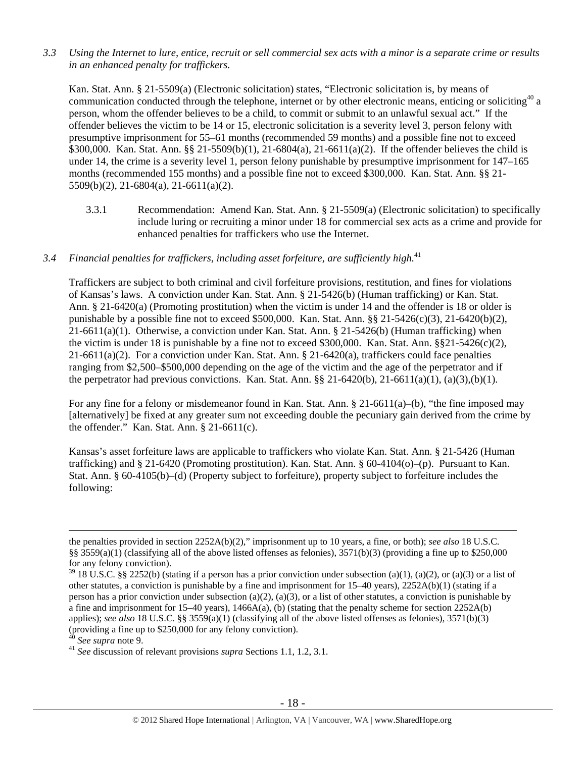*3.3 Using the Internet to lure, entice, recruit or sell commercial sex acts with a minor is a separate crime or results in an enhanced penalty for traffickers.* 

Kan. Stat. Ann. § 21-5509(a) (Electronic solicitation) states, "Electronic solicitation is, by means of communication conducted through the telephone, internet or by other electronic means, enticing or soliciting  $40$  a person, whom the offender believes to be a child, to commit or submit to an unlawful sexual act." If the offender believes the victim to be 14 or 15, electronic solicitation is a severity level 3, person felony with presumptive imprisonment for 55–61 months (recommended 59 months) and a possible fine not to exceed \$300,000. Kan. Stat. Ann. §§ 21-5509(b)(1), 21-6804(a), 21-6611(a)(2). If the offender believes the child is under 14, the crime is a severity level 1, person felony punishable by presumptive imprisonment for 147–165 months (recommended 155 months) and a possible fine not to exceed \$300,000. Kan. Stat. Ann. §§ 21- 5509(b)(2), 21-6804(a), 21-6611(a)(2).

3.3.1 Recommendation: Amend Kan. Stat. Ann. § 21-5509(a) (Electronic solicitation) to specifically include luring or recruiting a minor under 18 for commercial sex acts as a crime and provide for enhanced penalties for traffickers who use the Internet.

## *3.4 Financial penalties for traffickers, including asset forfeiture, are sufficiently high.*<sup>41</sup>

Traffickers are subject to both criminal and civil forfeiture provisions, restitution, and fines for violations of Kansas's laws. A conviction under Kan. Stat. Ann. § 21-5426(b) (Human trafficking) or Kan. Stat. Ann. § 21-6420(a) (Promoting prostitution) when the victim is under 14 and the offender is 18 or older is punishable by a possible fine not to exceed \$500,000. Kan. Stat. Ann. §§ 21-5426(c)(3), 21-6420(b)(2), 21-6611(a)(1). Otherwise, a conviction under Kan. Stat. Ann. § 21-5426(b) (Human trafficking) when the victim is under 18 is punishable by a fine not to exceed \$300,000. Kan. Stat. Ann. §§21-5426(c)(2), 21-6611(a)(2). For a conviction under Kan. Stat. Ann. § 21-6420(a), traffickers could face penalties ranging from \$2,500–\$500,000 depending on the age of the victim and the age of the perpetrator and if the perpetrator had previous convictions. Kan. Stat. Ann.  $\S$ § 21-6420(b), 21-6611(a)(1), (a)(3),(b)(1).

For any fine for a felony or misdemeanor found in Kan. Stat. Ann. § 21-6611(a)–(b), "the fine imposed may [alternatively] be fixed at any greater sum not exceeding double the pecuniary gain derived from the crime by the offender." Kan. Stat. Ann. § 21-6611(c).

Kansas's asset forfeiture laws are applicable to traffickers who violate Kan. Stat. Ann. § 21-5426 (Human trafficking) and § 21-6420 (Promoting prostitution). Kan. Stat. Ann. § 60-4104(o)–(p). Pursuant to Kan. Stat. Ann. § 60-4105(b)–(d) (Property subject to forfeiture), property subject to forfeiture includes the following:

the penalties provided in section 2252A(b)(2)," imprisonment up to 10 years, a fine, or both); *see also* 18 U.S.C. §§ 3559(a)(1) (classifying all of the above listed offenses as felonies), 3571(b)(3) (providing a fine up to \$250,000 for any felony conviction).

 $39$  18 U.S.C. §§ 2252(b) (stating if a person has a prior conviction under subsection (a)(1), (a)(2), or (a)(3) or a list of other statutes, a conviction is punishable by a fine and imprisonment for 15–40 years), 2252A(b)(1) (stating if a person has a prior conviction under subsection (a)(2), (a)(3), or a list of other statutes, a conviction is punishable by a fine and imprisonment for  $15-40$  years),  $1466A(a)$ , (b) (stating that the penalty scheme for section  $2252A(b)$ applies); *see also* 18 U.S.C. §§ 3559(a)(1) (classifying all of the above listed offenses as felonies), 3571(b)(3) (providing a fine up to \$250,000 for any felony conviction).

<sup>40</sup> *See supra* note 9. 41 *See* discussion of relevant provisions *supra* Sections 1.1, 1.2, 3.1.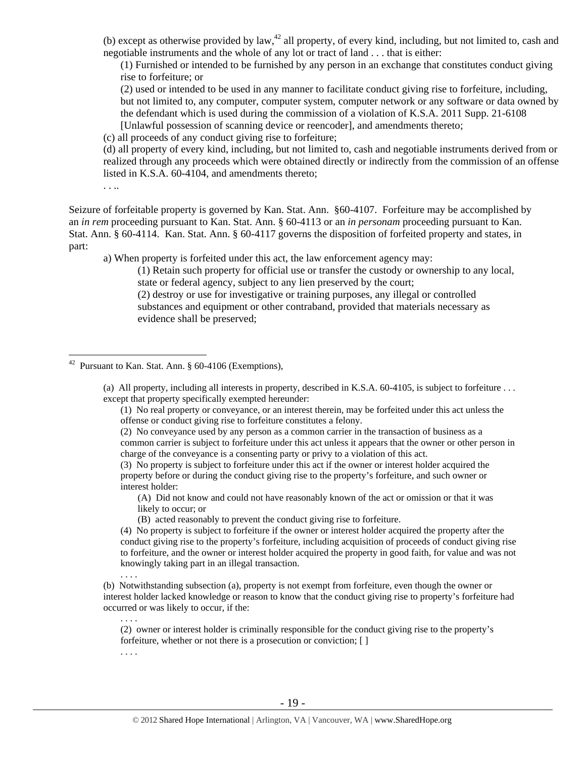(b) except as otherwise provided by law, $42$  all property, of every kind, including, but not limited to, cash and negotiable instruments and the whole of any lot or tract of land . . . that is either:

(1) Furnished or intended to be furnished by any person in an exchange that constitutes conduct giving rise to forfeiture; or

(2) used or intended to be used in any manner to facilitate conduct giving rise to forfeiture, including, but not limited to, any computer, computer system, computer network or any software or data owned by the defendant which is used during the commission of a violation of K.S.A. 2011 Supp. 21-6108 [Unlawful possession of scanning device or reencoder], and amendments thereto;

(c) all proceeds of any conduct giving rise to forfeiture;

(d) all property of every kind, including, but not limited to, cash and negotiable instruments derived from or realized through any proceeds which were obtained directly or indirectly from the commission of an offense listed in K.S.A. 60-4104, and amendments thereto;

Seizure of forfeitable property is governed by Kan. Stat. Ann. §60-4107. Forfeiture may be accomplished by an *in rem* proceeding pursuant to Kan. Stat. Ann. § 60-4113 or an *in personam* proceeding pursuant to Kan. Stat. Ann. § 60-4114. Kan. Stat. Ann. § 60-4117 governs the disposition of forfeited property and states, in part:

a) When property is forfeited under this act, the law enforcement agency may:

(1) Retain such property for official use or transfer the custody or ownership to any local, state or federal agency, subject to any lien preserved by the court;

(2) destroy or use for investigative or training purposes, any illegal or controlled substances and equipment or other contraband, provided that materials necessary as evidence shall be preserved;

. . . .

. . . .

. . ..

 $\overline{a}$ 

(a) All property, including all interests in property, described in K.S.A. 60-4105, is subject to forfeiture . . . except that property specifically exempted hereunder:

(1) No real property or conveyance, or an interest therein, may be forfeited under this act unless the offense or conduct giving rise to forfeiture constitutes a felony.

(2) No conveyance used by any person as a common carrier in the transaction of business as a common carrier is subject to forfeiture under this act unless it appears that the owner or other person in charge of the conveyance is a consenting party or privy to a violation of this act.

(3) No property is subject to forfeiture under this act if the owner or interest holder acquired the property before or during the conduct giving rise to the property's forfeiture, and such owner or interest holder:

(A) Did not know and could not have reasonably known of the act or omission or that it was likely to occur; or

(B) acted reasonably to prevent the conduct giving rise to forfeiture.

(4) No property is subject to forfeiture if the owner or interest holder acquired the property after the conduct giving rise to the property's forfeiture, including acquisition of proceeds of conduct giving rise to forfeiture, and the owner or interest holder acquired the property in good faith, for value and was not knowingly taking part in an illegal transaction.

(b) Notwithstanding subsection (a), property is not exempt from forfeiture, even though the owner or interest holder lacked knowledge or reason to know that the conduct giving rise to property's forfeiture had occurred or was likely to occur, if the:

(2) owner or interest holder is criminally responsible for the conduct giving rise to the property's forfeiture, whether or not there is a prosecution or conviction;  $\lceil \cdot \rceil$ 

<sup>&</sup>lt;sup>42</sup> Pursuant to Kan. Stat. Ann.  $\S$  60-4106 (Exemptions),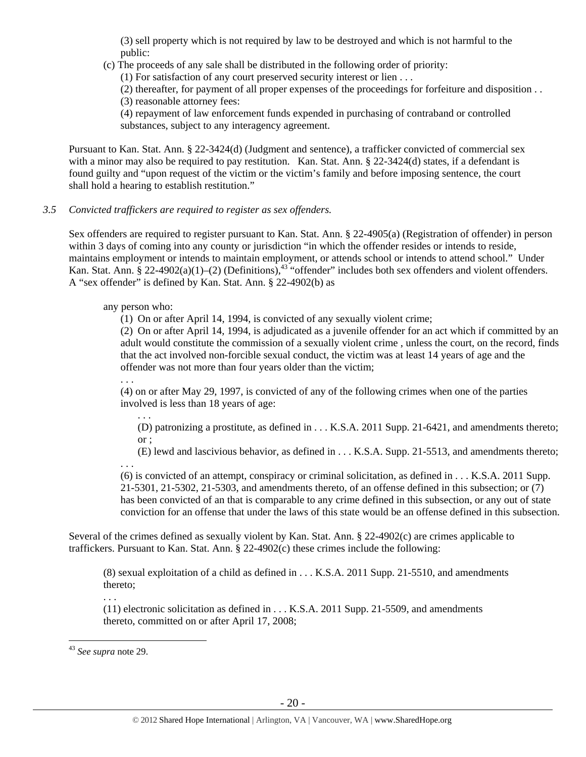(3) sell property which is not required by law to be destroyed and which is not harmful to the public:

(c) The proceeds of any sale shall be distributed in the following order of priority:

(1) For satisfaction of any court preserved security interest or lien . . .

(2) thereafter, for payment of all proper expenses of the proceedings for forfeiture and disposition . . (3) reasonable attorney fees:

(4) repayment of law enforcement funds expended in purchasing of contraband or controlled substances, subject to any interagency agreement.

Pursuant to Kan. Stat. Ann. § 22-3424(d) (Judgment and sentence), a trafficker convicted of commercial sex with a minor may also be required to pay restitution. Kan. Stat. Ann. § 22-3424(d) states, if a defendant is found guilty and "upon request of the victim or the victim's family and before imposing sentence, the court shall hold a hearing to establish restitution."

## *3.5 Convicted traffickers are required to register as sex offenders.*

Sex offenders are required to register pursuant to Kan. Stat. Ann. § 22-4905(a) (Registration of offender) in person within 3 days of coming into any county or jurisdiction "in which the offender resides or intends to reside, maintains employment or intends to maintain employment, or attends school or intends to attend school." Under Kan. Stat. Ann. § 22-4902(a)(1)–(2) (Definitions), $43$  "offender" includes both sex offenders and violent offenders. A "sex offender" is defined by Kan. Stat. Ann. § 22-4902(b) as

## any person who:

(1) On or after April 14, 1994, is convicted of any sexually violent crime;

(2) On or after April 14, 1994, is adjudicated as a juvenile offender for an act which if committed by an adult would constitute the commission of a sexually violent crime , unless the court, on the record, finds that the act involved non-forcible sexual conduct, the victim was at least 14 years of age and the offender was not more than four years older than the victim;

. . .

(4) on or after May 29, 1997, is convicted of any of the following crimes when one of the parties involved is less than 18 years of age:

. . .

(D) patronizing a prostitute, as defined in . . . K.S.A. 2011 Supp. 21-6421, and amendments thereto; or ;

(E) lewd and lascivious behavior, as defined in . . . K.S.A. Supp. 21-5513, and amendments thereto; . . .

(6) is convicted of an attempt, conspiracy or criminal solicitation, as defined in . . . K.S.A. 2011 Supp. 21-5301, 21-5302, 21-5303, and amendments thereto, of an offense defined in this subsection; or (7) has been convicted of an that is comparable to any crime defined in this subsection, or any out of state conviction for an offense that under the laws of this state would be an offense defined in this subsection.

Several of the crimes defined as sexually violent by Kan. Stat. Ann. § 22-4902(c) are crimes applicable to traffickers. Pursuant to Kan. Stat. Ann. § 22-4902(c) these crimes include the following:

(8) sexual exploitation of a child as defined in . . . K.S.A. 2011 Supp. 21-5510, and amendments thereto;

. . .

(11) electronic solicitation as defined in . . . K.S.A. 2011 Supp. 21-5509, and amendments thereto, committed on or after April 17, 2008;

<sup>43</sup> *See supra* note 29.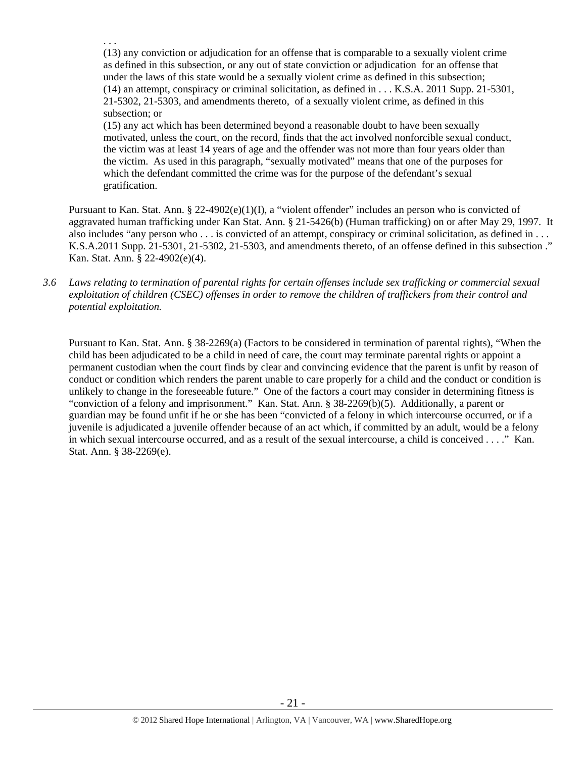(13) any conviction or adjudication for an offense that is comparable to a sexually violent crime as defined in this subsection, or any out of state conviction or adjudication for an offense that under the laws of this state would be a sexually violent crime as defined in this subsection; (14) an attempt, conspiracy or criminal solicitation, as defined in . . . K.S.A. 2011 Supp. 21-5301, 21-5302, 21-5303, and amendments thereto, of a sexually violent crime, as defined in this subsection; or

. . .

(15) any act which has been determined beyond a reasonable doubt to have been sexually motivated, unless the court, on the record, finds that the act involved nonforcible sexual conduct, the victim was at least 14 years of age and the offender was not more than four years older than the victim. As used in this paragraph, "sexually motivated" means that one of the purposes for which the defendant committed the crime was for the purpose of the defendant's sexual gratification.

Pursuant to Kan. Stat. Ann. § 22-4902(e)(1)(I), a "violent offender" includes an person who is convicted of aggravated human trafficking under Kan Stat. Ann. § 21-5426(b) (Human trafficking) on or after May 29, 1997. It also includes "any person who . . . is convicted of an attempt, conspiracy or criminal solicitation, as defined in . . . K.S.A.2011 Supp. 21-5301, 21-5302, 21-5303, and amendments thereto, of an offense defined in this subsection ." Kan. Stat. Ann. § 22-4902(e)(4).

*3.6 Laws relating to termination of parental rights for certain offenses include sex trafficking or commercial sexual exploitation of children (CSEC) offenses in order to remove the children of traffickers from their control and potential exploitation.* 

Pursuant to Kan. Stat. Ann. § 38-2269(a) (Factors to be considered in termination of parental rights), "When the child has been adjudicated to be a child in need of care, the court may terminate parental rights or appoint a permanent custodian when the court finds by clear and convincing evidence that the parent is unfit by reason of conduct or condition which renders the parent unable to care properly for a child and the conduct or condition is unlikely to change in the foreseeable future." One of the factors a court may consider in determining fitness is "conviction of a felony and imprisonment." Kan. Stat. Ann. § 38-2269(b)(5). Additionally, a parent or guardian may be found unfit if he or she has been "convicted of a felony in which intercourse occurred, or if a juvenile is adjudicated a juvenile offender because of an act which, if committed by an adult, would be a felony in which sexual intercourse occurred, and as a result of the sexual intercourse, a child is conceived . . . ." Kan. Stat. Ann. § 38-2269(e).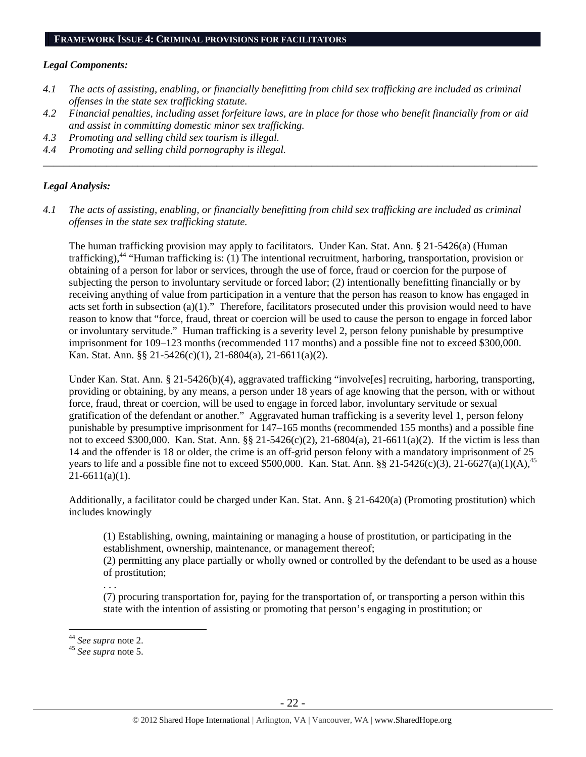#### *Legal Components:*

- *4.1 The acts of assisting, enabling, or financially benefitting from child sex trafficking are included as criminal offenses in the state sex trafficking statute.*
- *4.2 Financial penalties, including asset forfeiture laws, are in place for those who benefit financially from or aid and assist in committing domestic minor sex trafficking.*

*\_\_\_\_\_\_\_\_\_\_\_\_\_\_\_\_\_\_\_\_\_\_\_\_\_\_\_\_\_\_\_\_\_\_\_\_\_\_\_\_\_\_\_\_\_\_\_\_\_\_\_\_\_\_\_\_\_\_\_\_\_\_\_\_\_\_\_\_\_\_\_\_\_\_\_\_\_\_\_\_\_\_\_\_\_\_\_\_\_\_\_\_\_\_* 

- *4.3 Promoting and selling child sex tourism is illegal.*
- *4.4 Promoting and selling child pornography is illegal.*

#### *Legal Analysis:*

*4.1 The acts of assisting, enabling, or financially benefitting from child sex trafficking are included as criminal offenses in the state sex trafficking statute.* 

The human trafficking provision may apply to facilitators. Under Kan. Stat. Ann. § 21-5426(a) (Human trafficking),<sup>44</sup> "Human trafficking is: (1) The intentional recruitment, harboring, transportation, provision or obtaining of a person for labor or services, through the use of force, fraud or coercion for the purpose of subjecting the person to involuntary servitude or forced labor; (2) intentionally benefitting financially or by receiving anything of value from participation in a venture that the person has reason to know has engaged in acts set forth in subsection (a)(1)." Therefore, facilitators prosecuted under this provision would need to have reason to know that "force, fraud, threat or coercion will be used to cause the person to engage in forced labor or involuntary servitude." Human trafficking is a severity level 2, person felony punishable by presumptive imprisonment for 109–123 months (recommended 117 months) and a possible fine not to exceed \$300,000. Kan. Stat. Ann. §§ 21-5426(c)(1), 21-6804(a), 21-6611(a)(2).

Under Kan. Stat. Ann. § 21-5426(b)(4), aggravated trafficking "involve[es] recruiting, harboring, transporting, providing or obtaining, by any means, a person under 18 years of age knowing that the person, with or without force, fraud, threat or coercion, will be used to engage in forced labor, involuntary servitude or sexual gratification of the defendant or another." Aggravated human trafficking is a severity level 1, person felony punishable by presumptive imprisonment for 147–165 months (recommended 155 months) and a possible fine not to exceed \$300,000. Kan. Stat. Ann. §§ 21-5426(c)(2), 21-6804(a), 21-6611(a)(2). If the victim is less than 14 and the offender is 18 or older, the crime is an off-grid person felony with a mandatory imprisonment of 25 years to life and a possible fine not to exceed \$500,000. Kan. Stat. Ann. §§ 21-5426(c)(3), 21-6627(a)(1)(A),<sup>45</sup>  $21-6611(a)(1)$ .

Additionally, a facilitator could be charged under Kan. Stat. Ann. § 21-6420(a) (Promoting prostitution) which includes knowingly

(1) Establishing, owning, maintaining or managing a house of prostitution, or participating in the establishment, ownership, maintenance, or management thereof;

(2) permitting any place partially or wholly owned or controlled by the defendant to be used as a house of prostitution;

. . .

(7) procuring transportation for, paying for the transportation of, or transporting a person within this state with the intention of assisting or promoting that person's engaging in prostitution; or

<sup>44</sup> *See supra* note 2. 45 *See supra* note 5.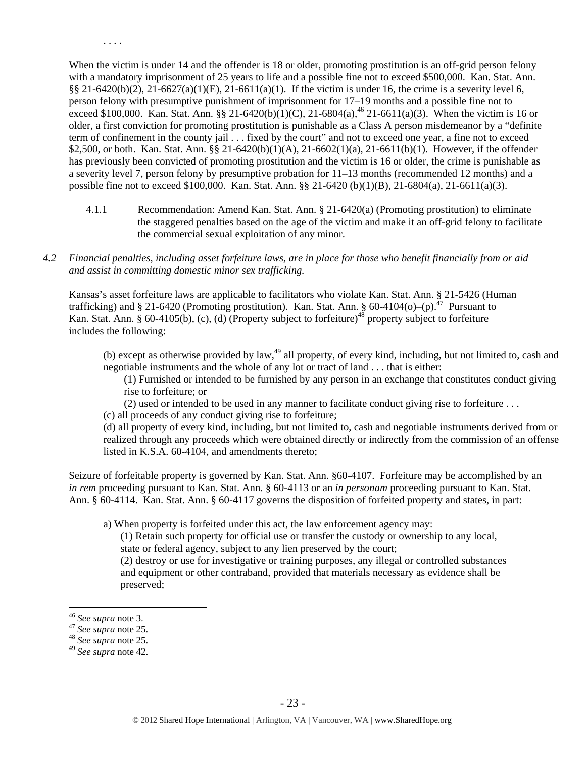When the victim is under 14 and the offender is 18 or older, promoting prostitution is an off-grid person felony with a mandatory imprisonment of 25 years to life and a possible fine not to exceed \$500,000. Kan. Stat. Ann. §§ 21-6420(b)(2), 21-6627(a)(1)(E), 21-6611(a)(1). If the victim is under 16, the crime is a severity level 6, person felony with presumptive punishment of imprisonment for 17–19 months and a possible fine not to exceed \$100,000. Kan. Stat. Ann. §§ 21-6420(b)(1)(C), 21-6804(a),<sup>46</sup> 21-6611(a)(3). When the victim is 16 or older, a first conviction for promoting prostitution is punishable as a Class A person misdemeanor by a "definite term of confinement in the county jail . . . fixed by the court" and not to exceed one year, a fine not to exceed \$2,500, or both. Kan. Stat. Ann. §§ 21-6420(b)(1)(A), 21-6602(1)(a), 21-6611(b)(1). However, if the offender has previously been convicted of promoting prostitution and the victim is 16 or older, the crime is punishable as a severity level 7, person felony by presumptive probation for 11–13 months (recommended 12 months) and a possible fine not to exceed \$100,000. Kan. Stat. Ann. §§ 21-6420 (b)(1)(B), 21-6804(a), 21-6611(a)(3).

4.1.1 Recommendation: Amend Kan. Stat. Ann. § 21-6420(a) (Promoting prostitution) to eliminate the staggered penalties based on the age of the victim and make it an off-grid felony to facilitate the commercial sexual exploitation of any minor.

#### *4.2 Financial penalties, including asset forfeiture laws, are in place for those who benefit financially from or aid and assist in committing domestic minor sex trafficking.*

Kansas's asset forfeiture laws are applicable to facilitators who violate Kan. Stat. Ann. § 21-5426 (Human trafficking) and § 21-6420 (Promoting prostitution). Kan. Stat. Ann. § 60-4104(o)–(p).<sup>47</sup> Pursuant to Kan. Stat. Ann. § 60-4105(b), (c), (d) (Property subject to forfeiture)<sup>48</sup> property subject to forfeiture includes the following:

(b) except as otherwise provided by law, $49$  all property, of every kind, including, but not limited to, cash and negotiable instruments and the whole of any lot or tract of land . . . that is either:

(1) Furnished or intended to be furnished by any person in an exchange that constitutes conduct giving rise to forfeiture; or

(2) used or intended to be used in any manner to facilitate conduct giving rise to forfeiture . . .

(c) all proceeds of any conduct giving rise to forfeiture;

(d) all property of every kind, including, but not limited to, cash and negotiable instruments derived from or realized through any proceeds which were obtained directly or indirectly from the commission of an offense listed in K.S.A. 60-4104, and amendments thereto;

Seizure of forfeitable property is governed by Kan. Stat. Ann. §60-4107. Forfeiture may be accomplished by an *in rem* proceeding pursuant to Kan. Stat. Ann. § 60-4113 or an *in personam* proceeding pursuant to Kan. Stat. Ann. § 60-4114. Kan. Stat. Ann. § 60-4117 governs the disposition of forfeited property and states, in part:

a) When property is forfeited under this act, the law enforcement agency may:

(1) Retain such property for official use or transfer the custody or ownership to any local, state or federal agency, subject to any lien preserved by the court;

(2) destroy or use for investigative or training purposes, any illegal or controlled substances and equipment or other contraband, provided that materials necessary as evidence shall be preserved;

 $\overline{a}$ 

. . . .

<sup>46</sup> *See supra* note 3. 47 *See supra* note 25. 48 *See supra* note 25.

<sup>49</sup> *See supra* note 42.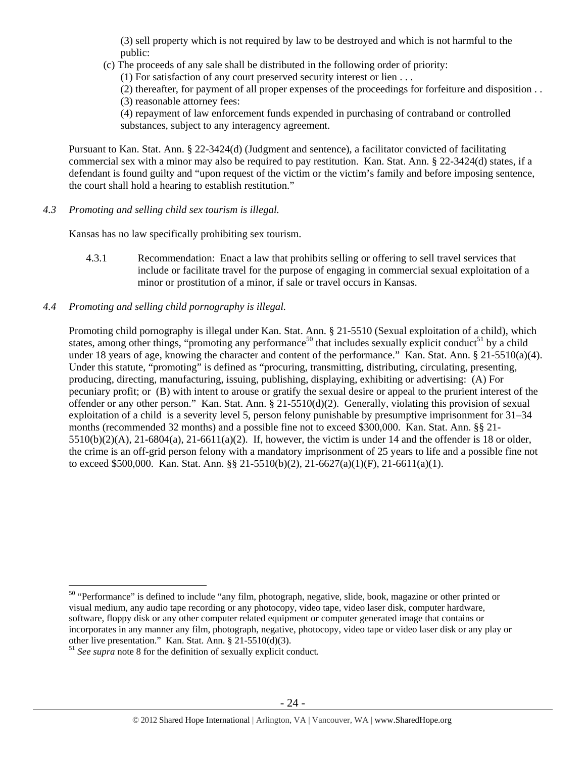(3) sell property which is not required by law to be destroyed and which is not harmful to the public:

(c) The proceeds of any sale shall be distributed in the following order of priority:

(1) For satisfaction of any court preserved security interest or lien . . .

(2) thereafter, for payment of all proper expenses of the proceedings for forfeiture and disposition . . (3) reasonable attorney fees:

(4) repayment of law enforcement funds expended in purchasing of contraband or controlled substances, subject to any interagency agreement.

Pursuant to Kan. Stat. Ann. § 22-3424(d) (Judgment and sentence), a facilitator convicted of facilitating commercial sex with a minor may also be required to pay restitution. Kan. Stat. Ann. § 22-3424(d) states, if a defendant is found guilty and "upon request of the victim or the victim's family and before imposing sentence, the court shall hold a hearing to establish restitution."

*4.3 Promoting and selling child sex tourism is illegal.* 

Kansas has no law specifically prohibiting sex tourism.

- 4.3.1 Recommendation: Enact a law that prohibits selling or offering to sell travel services that include or facilitate travel for the purpose of engaging in commercial sexual exploitation of a minor or prostitution of a minor, if sale or travel occurs in Kansas.
- *4.4 Promoting and selling child pornography is illegal.*

Promoting child pornography is illegal under Kan. Stat. Ann. § 21-5510 (Sexual exploitation of a child), which states, among other things, "promoting any performance<sup>50</sup> that includes sexually explicit conduct<sup>51</sup> by a child under 18 years of age, knowing the character and content of the performance." Kan. Stat. Ann. § 21-5510(a)(4). Under this statute, "promoting" is defined as "procuring, transmitting, distributing, circulating, presenting, producing, directing, manufacturing, issuing, publishing, displaying, exhibiting or advertising: (A) For pecuniary profit; or (B) with intent to arouse or gratify the sexual desire or appeal to the prurient interest of the offender or any other person." Kan. Stat. Ann. § 21-5510(d)(2). Generally, violating this provision of sexual exploitation of a child is a severity level 5, person felony punishable by presumptive imprisonment for 31–34 months (recommended 32 months) and a possible fine not to exceed \$300,000. Kan. Stat. Ann. §§ 21-  $5510(b)(2)(A)$ ,  $21-6804(a)$ ,  $21-6611(a)(2)$ . If, however, the victim is under 14 and the offender is 18 or older, the crime is an off-grid person felony with a mandatory imprisonment of 25 years to life and a possible fine not to exceed \$500,000. Kan. Stat. Ann. §§ 21-5510(b)(2), 21-6627(a)(1)(F), 21-6611(a)(1).

<sup>&</sup>lt;sup>50</sup> "Performance" is defined to include "any film, photograph, negative, slide, book, magazine or other printed or visual medium, any audio tape recording or any photocopy, video tape, video laser disk, computer hardware, software, floppy disk or any other computer related equipment or computer generated image that contains or incorporates in any manner any film, photograph, negative, photocopy, video tape or video laser disk or any play or other live presentation." Kan. Stat. Ann. § 21-5510(d)(3).

<sup>51</sup> *See supra* note 8 for the definition of sexually explicit conduct.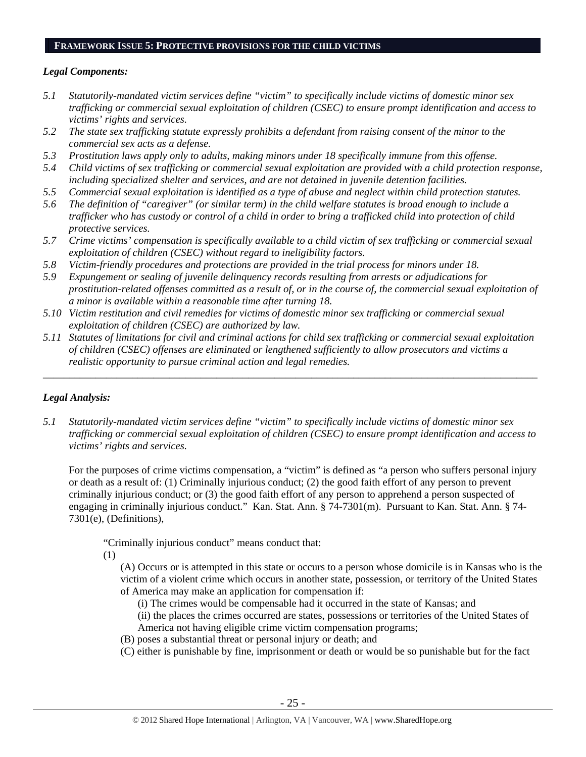#### **FRAMEWORK ISSUE 5: PROTECTIVE PROVISIONS FOR THE CHILD VICTIMS**

#### *Legal Components:*

- *5.1 Statutorily-mandated victim services define "victim" to specifically include victims of domestic minor sex trafficking or commercial sexual exploitation of children (CSEC) to ensure prompt identification and access to victims' rights and services.*
- *5.2 The state sex trafficking statute expressly prohibits a defendant from raising consent of the minor to the commercial sex acts as a defense.*
- *5.3 Prostitution laws apply only to adults, making minors under 18 specifically immune from this offense.*
- *5.4 Child victims of sex trafficking or commercial sexual exploitation are provided with a child protection response, including specialized shelter and services, and are not detained in juvenile detention facilities.*
- *5.5 Commercial sexual exploitation is identified as a type of abuse and neglect within child protection statutes.*
- *5.6 The definition of "caregiver" (or similar term) in the child welfare statutes is broad enough to include a trafficker who has custody or control of a child in order to bring a trafficked child into protection of child protective services.*
- *5.7 Crime victims' compensation is specifically available to a child victim of sex trafficking or commercial sexual exploitation of children (CSEC) without regard to ineligibility factors.*
- *5.8 Victim-friendly procedures and protections are provided in the trial process for minors under 18.*
- *5.9 Expungement or sealing of juvenile delinquency records resulting from arrests or adjudications for prostitution-related offenses committed as a result of, or in the course of, the commercial sexual exploitation of a minor is available within a reasonable time after turning 18.*
- *5.10 Victim restitution and civil remedies for victims of domestic minor sex trafficking or commercial sexual exploitation of children (CSEC) are authorized by law.*
- *5.11 Statutes of limitations for civil and criminal actions for child sex trafficking or commercial sexual exploitation of children (CSEC) offenses are eliminated or lengthened sufficiently to allow prosecutors and victims a realistic opportunity to pursue criminal action and legal remedies.*

*\_\_\_\_\_\_\_\_\_\_\_\_\_\_\_\_\_\_\_\_\_\_\_\_\_\_\_\_\_\_\_\_\_\_\_\_\_\_\_\_\_\_\_\_\_\_\_\_\_\_\_\_\_\_\_\_\_\_\_\_\_\_\_\_\_\_\_\_\_\_\_\_\_\_\_\_\_\_\_\_\_\_\_\_\_\_\_\_\_\_\_\_\_\_* 

## *Legal Analysis:*

*5.1 Statutorily-mandated victim services define "victim" to specifically include victims of domestic minor sex trafficking or commercial sexual exploitation of children (CSEC) to ensure prompt identification and access to victims' rights and services.* 

For the purposes of crime victims compensation, a "victim" is defined as "a person who suffers personal injury or death as a result of: (1) Criminally injurious conduct; (2) the good faith effort of any person to prevent criminally injurious conduct; or (3) the good faith effort of any person to apprehend a person suspected of engaging in criminally injurious conduct." Kan. Stat. Ann. § 74-7301(m). Pursuant to Kan. Stat. Ann. § 74- 7301(e), (Definitions),

"Criminally injurious conduct" means conduct that:

(1)

(A) Occurs or is attempted in this state or occurs to a person whose domicile is in Kansas who is the victim of a violent crime which occurs in another state, possession, or territory of the United States of America may make an application for compensation if:

(i) The crimes would be compensable had it occurred in the state of Kansas; and

(ii) the places the crimes occurred are states, possessions or territories of the United States of America not having eligible crime victim compensation programs;

- (B) poses a substantial threat or personal injury or death; and
- (C) either is punishable by fine, imprisonment or death or would be so punishable but for the fact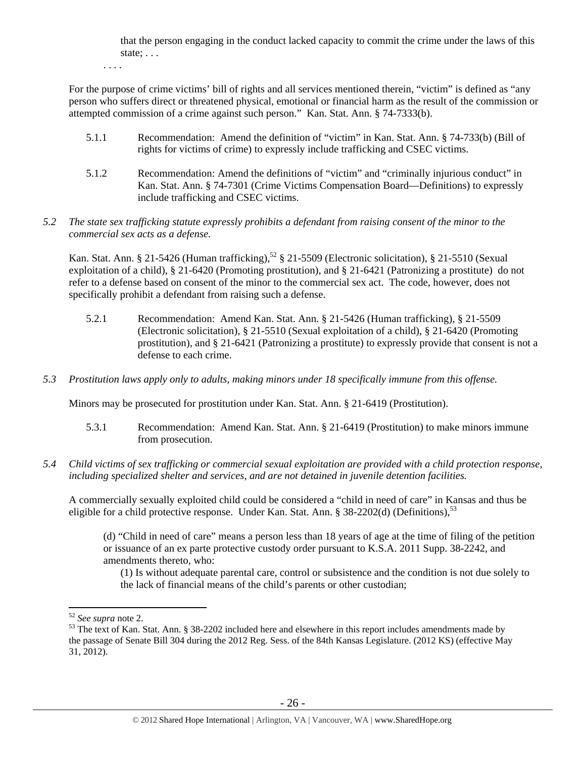that the person engaging in the conduct lacked capacity to commit the crime under the laws of this state; . . .

. . . .

For the purpose of crime victims' bill of rights and all services mentioned therein, "victim" is defined as "any person who suffers direct or threatened physical, emotional or financial harm as the result of the commission or attempted commission of a crime against such person." Kan. Stat. Ann. § 74-7333(b).

- 5.1.1 Recommendation: Amend the definition of "victim" in Kan. Stat. Ann. § 74-733(b) (Bill of rights for victims of crime) to expressly include trafficking and CSEC victims.
- 5.1.2 Recommendation: Amend the definitions of "victim" and "criminally injurious conduct" in Kan. Stat. Ann. § 74-7301 (Crime Victims Compensation Board—Definitions) to expressly include trafficking and CSEC victims.
- *5.2 The state sex trafficking statute expressly prohibits a defendant from raising consent of the minor to the commercial sex acts as a defense.*

Kan. Stat. Ann. § 21-5426 (Human trafficking),<sup>52</sup> § 21-5509 (Electronic solicitation), § 21-5510 (Sexual exploitation of a child), § 21-6420 (Promoting prostitution), and § 21-6421 (Patronizing a prostitute) do not refer to a defense based on consent of the minor to the commercial sex act. The code, however, does not specifically prohibit a defendant from raising such a defense.

- 5.2.1 Recommendation: Amend Kan. Stat. Ann. § 21-5426 (Human trafficking), § 21-5509 (Electronic solicitation), § 21-5510 (Sexual exploitation of a child), § 21-6420 (Promoting prostitution), and § 21-6421 (Patronizing a prostitute) to expressly provide that consent is not a defense to each crime.
- *5.3 Prostitution laws apply only to adults, making minors under 18 specifically immune from this offense.*

Minors may be prosecuted for prostitution under Kan. Stat. Ann. § 21-6419 (Prostitution).

- 5.3.1 Recommendation: Amend Kan. Stat. Ann. § 21-6419 (Prostitution) to make minors immune from prosecution.
- *5.4 Child victims of sex trafficking or commercial sexual exploitation are provided with a child protection response, including specialized shelter and services, and are not detained in juvenile detention facilities.*

A commercially sexually exploited child could be considered a "child in need of care" in Kansas and thus be eligible for a child protective response. Under Kan. Stat. Ann. § 38-2202(d) (Definitions).<sup>53</sup>

(d) "Child in need of care" means a person less than 18 years of age at the time of filing of the petition or issuance of an ex parte protective custody order pursuant to K.S.A. 2011 Supp. 38-2242, and amendments thereto, who:

(1) Is without adequate parental care, control or subsistence and the condition is not due solely to the lack of financial means of the child's parents or other custodian;

<sup>&</sup>lt;sup>52</sup> See supra note 2.

<sup>&</sup>lt;sup>53</sup> The text of Kan. Stat. Ann. § 38-2202 included here and elsewhere in this report includes amendments made by the passage of Senate Bill 304 during the 2012 Reg. Sess. of the 84th Kansas Legislature. (2012 KS) (effective May 31, 2012).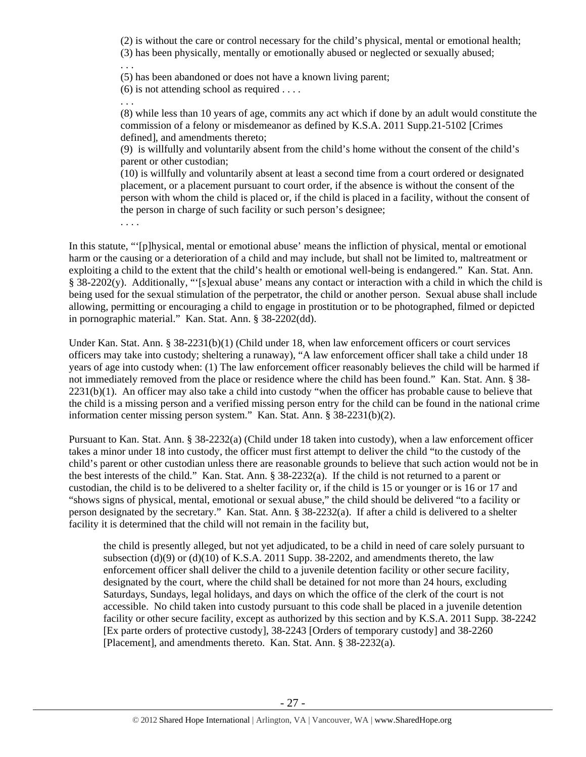(2) is without the care or control necessary for the child's physical, mental or emotional health; (3) has been physically, mentally or emotionally abused or neglected or sexually abused; . . .

(5) has been abandoned or does not have a known living parent;

(6) is not attending school as required . . . .

. . .

(8) while less than 10 years of age, commits any act which if done by an adult would constitute the commission of a felony or misdemeanor as defined by K.S.A. 2011 Supp.21-5102 [Crimes defined], and amendments thereto;

(9) is willfully and voluntarily absent from the child's home without the consent of the child's parent or other custodian;

(10) is willfully and voluntarily absent at least a second time from a court ordered or designated placement, or a placement pursuant to court order, if the absence is without the consent of the person with whom the child is placed or, if the child is placed in a facility, without the consent of the person in charge of such facility or such person's designee;

. . . .

In this statute, "'[p]hysical, mental or emotional abuse' means the infliction of physical, mental or emotional harm or the causing or a deterioration of a child and may include, but shall not be limited to, maltreatment or exploiting a child to the extent that the child's health or emotional well-being is endangered." Kan. Stat. Ann. § 38-2202(y). Additionally, "'[s]exual abuse' means any contact or interaction with a child in which the child is being used for the sexual stimulation of the perpetrator, the child or another person. Sexual abuse shall include allowing, permitting or encouraging a child to engage in prostitution or to be photographed, filmed or depicted in pornographic material." Kan. Stat. Ann. § 38-2202(dd).

Under Kan. Stat. Ann. § 38-2231(b)(1) (Child under 18, when law enforcement officers or court services officers may take into custody; sheltering a runaway), "A law enforcement officer shall take a child under 18 years of age into custody when: (1) The law enforcement officer reasonably believes the child will be harmed if not immediately removed from the place or residence where the child has been found." Kan. Stat. Ann. § 38- 2231(b)(1). An officer may also take a child into custody "when the officer has probable cause to believe that the child is a missing person and a verified missing person entry for the child can be found in the national crime information center missing person system." Kan. Stat. Ann. § 38-2231(b)(2).

Pursuant to Kan. Stat. Ann. § 38-2232(a) (Child under 18 taken into custody), when a law enforcement officer takes a minor under 18 into custody, the officer must first attempt to deliver the child "to the custody of the child's parent or other custodian unless there are reasonable grounds to believe that such action would not be in the best interests of the child." Kan. Stat. Ann. § 38-2232(a). If the child is not returned to a parent or custodian, the child is to be delivered to a shelter facility or, if the child is 15 or younger or is 16 or 17 and "shows signs of physical, mental, emotional or sexual abuse," the child should be delivered "to a facility or person designated by the secretary." Kan. Stat. Ann. § 38-2232(a). If after a child is delivered to a shelter facility it is determined that the child will not remain in the facility but,

the child is presently alleged, but not yet adjudicated, to be a child in need of care solely pursuant to subsection (d)(9) or (d)(10) of K.S.A. 2011 Supp. 38-2202, and amendments thereto, the law enforcement officer shall deliver the child to a juvenile detention facility or other secure facility, designated by the court, where the child shall be detained for not more than 24 hours, excluding Saturdays, Sundays, legal holidays, and days on which the office of the clerk of the court is not accessible. No child taken into custody pursuant to this code shall be placed in a juvenile detention facility or other secure facility, except as authorized by this section and by K.S.A. 2011 Supp. 38-2242 [Ex parte orders of protective custody], 38-2243 [Orders of temporary custody] and 38-2260 [Placement], and amendments thereto. Kan. Stat. Ann. § 38-2232(a).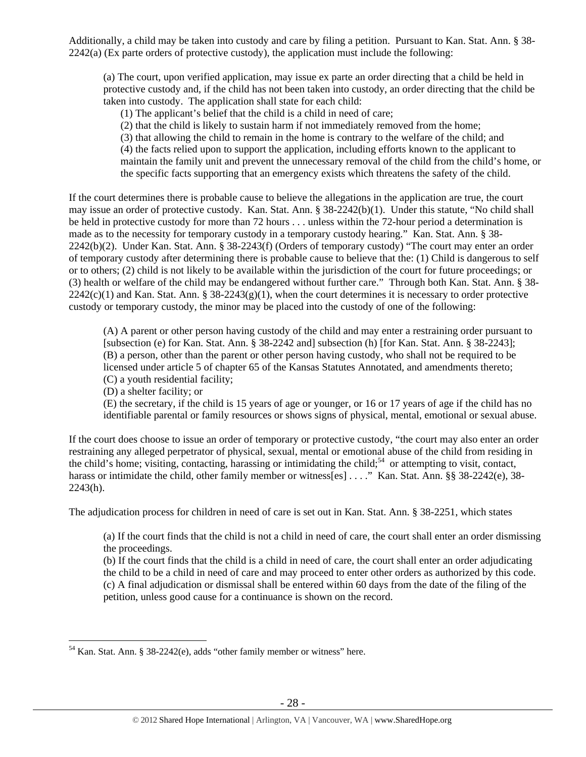Additionally, a child may be taken into custody and care by filing a petition. Pursuant to Kan. Stat. Ann. § 38- 2242(a) (Ex parte orders of protective custody), the application must include the following:

(a) The court, upon verified application, may issue ex parte an order directing that a child be held in protective custody and, if the child has not been taken into custody, an order directing that the child be taken into custody. The application shall state for each child:

(1) The applicant's belief that the child is a child in need of care;

(2) that the child is likely to sustain harm if not immediately removed from the home;

(3) that allowing the child to remain in the home is contrary to the welfare of the child; and (4) the facts relied upon to support the application, including efforts known to the applicant to maintain the family unit and prevent the unnecessary removal of the child from the child's home, or the specific facts supporting that an emergency exists which threatens the safety of the child.

If the court determines there is probable cause to believe the allegations in the application are true, the court may issue an order of protective custody. Kan. Stat. Ann. § 38-2242(b)(1). Under this statute, "No child shall be held in protective custody for more than 72 hours . . . unless within the 72-hour period a determination is made as to the necessity for temporary custody in a temporary custody hearing." Kan. Stat. Ann. § 38- 2242(b)(2). Under Kan. Stat. Ann. § 38-2243(f) (Orders of temporary custody) "The court may enter an order of temporary custody after determining there is probable cause to believe that the: (1) Child is dangerous to self or to others; (2) child is not likely to be available within the jurisdiction of the court for future proceedings; or (3) health or welfare of the child may be endangered without further care." Through both Kan. Stat. Ann. § 38-  $2242(c)(1)$  and Kan. Stat. Ann. § 38-2243(g)(1), when the court determines it is necessary to order protective custody or temporary custody, the minor may be placed into the custody of one of the following:

(A) A parent or other person having custody of the child and may enter a restraining order pursuant to [subsection (e) for Kan. Stat. Ann. § 38-2242 and] subsection (h) [for Kan. Stat. Ann. § 38-2243]; (B) a person, other than the parent or other person having custody, who shall not be required to be licensed under article 5 of chapter 65 of the Kansas Statutes Annotated, and amendments thereto; (C) a youth residential facility;

(D) a shelter facility; or

(E) the secretary, if the child is 15 years of age or younger, or 16 or 17 years of age if the child has no identifiable parental or family resources or shows signs of physical, mental, emotional or sexual abuse.

If the court does choose to issue an order of temporary or protective custody, "the court may also enter an order restraining any alleged perpetrator of physical, sexual, mental or emotional abuse of the child from residing in the child's home; visiting, contacting, harassing or intimidating the child;<sup>54</sup> or attempting to visit, contact, harass or intimidate the child, other family member or witness[es] . . . ." Kan. Stat. Ann. §§ 38-2242(e), 38-2243(h).

The adjudication process for children in need of care is set out in Kan. Stat. Ann. § 38-2251, which states

(a) If the court finds that the child is not a child in need of care, the court shall enter an order dismissing the proceedings.

(b) If the court finds that the child is a child in need of care, the court shall enter an order adjudicating the child to be a child in need of care and may proceed to enter other orders as authorized by this code. (c) A final adjudication or dismissal shall be entered within 60 days from the date of the filing of the petition, unless good cause for a continuance is shown on the record.

 $\overline{a}$  $54$  Kan. Stat. Ann. § 38-2242(e), adds "other family member or witness" here.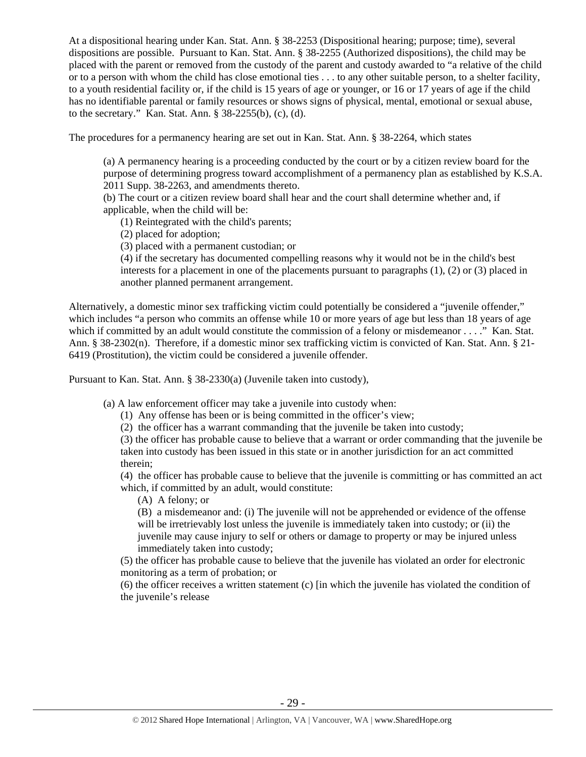At a dispositional hearing under Kan. Stat. Ann. § 38-2253 (Dispositional hearing; purpose; time), several dispositions are possible. Pursuant to Kan. Stat. Ann. § 38-2255 (Authorized dispositions), the child may be placed with the parent or removed from the custody of the parent and custody awarded to "a relative of the child or to a person with whom the child has close emotional ties . . . to any other suitable person, to a shelter facility, to a youth residential facility or, if the child is 15 years of age or younger, or 16 or 17 years of age if the child has no identifiable parental or family resources or shows signs of physical, mental, emotional or sexual abuse, to the secretary." Kan. Stat. Ann. § 38-2255(b), (c), (d).

The procedures for a permanency hearing are set out in Kan. Stat. Ann. § 38-2264, which states

(a) A permanency hearing is a proceeding conducted by the court or by a citizen review board for the purpose of determining progress toward accomplishment of a permanency plan as established by K.S.A. 2011 Supp. 38-2263, and amendments thereto.

(b) The court or a citizen review board shall hear and the court shall determine whether and, if applicable, when the child will be:

(1) Reintegrated with the child's parents;

(2) placed for adoption;

(3) placed with a permanent custodian; or

(4) if the secretary has documented compelling reasons why it would not be in the child's best interests for a placement in one of the placements pursuant to paragraphs (1), (2) or (3) placed in another planned permanent arrangement.

Alternatively, a domestic minor sex trafficking victim could potentially be considered a "juvenile offender," which includes "a person who commits an offense while 10 or more years of age but less than 18 years of age which if committed by an adult would constitute the commission of a felony or misdemeanor . . . ." Kan. Stat. Ann. § 38-2302(n). Therefore, if a domestic minor sex trafficking victim is convicted of Kan. Stat. Ann. § 21- 6419 (Prostitution), the victim could be considered a juvenile offender.

Pursuant to Kan. Stat. Ann. § 38-2330(a) (Juvenile taken into custody),

(a) A law enforcement officer may take a juvenile into custody when:

(1) Any offense has been or is being committed in the officer's view;

(2) the officer has a warrant commanding that the juvenile be taken into custody;

(3) the officer has probable cause to believe that a warrant or order commanding that the juvenile be taken into custody has been issued in this state or in another jurisdiction for an act committed therein;

(4) the officer has probable cause to believe that the juvenile is committing or has committed an act which, if committed by an adult, would constitute:

(A) A felony; or

(B) a misdemeanor and: (i) The juvenile will not be apprehended or evidence of the offense will be irretrievably lost unless the juvenile is immediately taken into custody; or (ii) the juvenile may cause injury to self or others or damage to property or may be injured unless immediately taken into custody;

(5) the officer has probable cause to believe that the juvenile has violated an order for electronic monitoring as a term of probation; or

(6) the officer receives a written statement (c) [in which the juvenile has violated the condition of the juvenile's release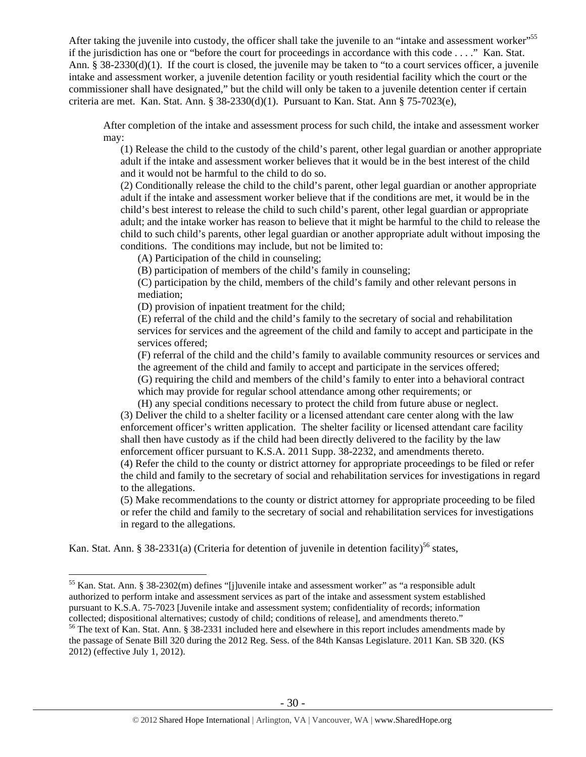After taking the juvenile into custody, the officer shall take the juvenile to an "intake and assessment worker"<sup>55</sup> if the jurisdiction has one or "before the court for proceedings in accordance with this code . . . ." Kan. Stat. Ann. § 38-2330(d)(1). If the court is closed, the juvenile may be taken to "to a court services officer, a juvenile intake and assessment worker, a juvenile detention facility or youth residential facility which the court or the commissioner shall have designated," but the child will only be taken to a juvenile detention center if certain criteria are met. Kan. Stat. Ann. § 38-2330(d)(1). Pursuant to Kan. Stat. Ann § 75-7023(e),

After completion of the intake and assessment process for such child, the intake and assessment worker may:

(1) Release the child to the custody of the child's parent, other legal guardian or another appropriate adult if the intake and assessment worker believes that it would be in the best interest of the child and it would not be harmful to the child to do so.

(2) Conditionally release the child to the child's parent, other legal guardian or another appropriate adult if the intake and assessment worker believe that if the conditions are met, it would be in the child's best interest to release the child to such child's parent, other legal guardian or appropriate adult; and the intake worker has reason to believe that it might be harmful to the child to release the child to such child's parents, other legal guardian or another appropriate adult without imposing the conditions. The conditions may include, but not be limited to:

(A) Participation of the child in counseling;

(B) participation of members of the child's family in counseling;

(C) participation by the child, members of the child's family and other relevant persons in mediation;

(D) provision of inpatient treatment for the child;

(E) referral of the child and the child's family to the secretary of social and rehabilitation services for services and the agreement of the child and family to accept and participate in the services offered;

(F) referral of the child and the child's family to available community resources or services and the agreement of the child and family to accept and participate in the services offered;

(G) requiring the child and members of the child's family to enter into a behavioral contract which may provide for regular school attendance among other requirements; or

(H) any special conditions necessary to protect the child from future abuse or neglect. (3) Deliver the child to a shelter facility or a licensed attendant care center along with the law enforcement officer's written application. The shelter facility or licensed attendant care facility shall then have custody as if the child had been directly delivered to the facility by the law enforcement officer pursuant to K.S.A. 2011 Supp. 38-2232, and amendments thereto.

(4) Refer the child to the county or district attorney for appropriate proceedings to be filed or refer the child and family to the secretary of social and rehabilitation services for investigations in regard to the allegations.

(5) Make recommendations to the county or district attorney for appropriate proceeding to be filed or refer the child and family to the secretary of social and rehabilitation services for investigations in regard to the allegations.

Kan. Stat. Ann. § 38-2331(a) (Criteria for detention of juvenile in detention facility)<sup>56</sup> states,

<sup>&</sup>lt;sup>55</sup> Kan. Stat. Ann. § 38-2302(m) defines "[j]uvenile intake and assessment worker" as "a responsible adult authorized to perform intake and assessment services as part of the intake and assessment system established pursuant to K.S.A. 75-7023 [Juvenile intake and assessment system; confidentiality of records; information collected; dispositional alternatives; custody of child; conditions of release], and amendments thereto." 56 The text of Kan. Stat. Ann. § 38-2331 included here and elsewhere in this report includes amendments made by

the passage of Senate Bill 320 during the 2012 Reg. Sess. of the 84th Kansas Legislature. 2011 Kan. SB 320. (KS 2012) (effective July 1, 2012).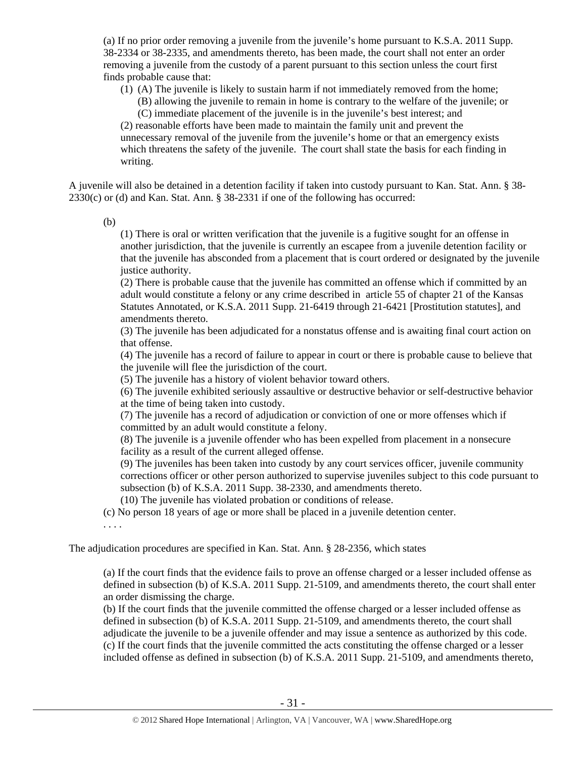(a) If no prior order removing a juvenile from the juvenile's home pursuant to K.S.A. 2011 Supp. 38-2334 or 38-2335, and amendments thereto, has been made, the court shall not enter an order removing a juvenile from the custody of a parent pursuant to this section unless the court first finds probable cause that:

(1) (A) The juvenile is likely to sustain harm if not immediately removed from the home;

(B) allowing the juvenile to remain in home is contrary to the welfare of the juvenile; or (C) immediate placement of the juvenile is in the juvenile's best interest; and

(2) reasonable efforts have been made to maintain the family unit and prevent the unnecessary removal of the juvenile from the juvenile's home or that an emergency exists which threatens the safety of the juvenile. The court shall state the basis for each finding in writing.

A juvenile will also be detained in a detention facility if taken into custody pursuant to Kan. Stat. Ann. § 38- 2330(c) or (d) and Kan. Stat. Ann. § 38-2331 if one of the following has occurred:

(b)

(1) There is oral or written verification that the juvenile is a fugitive sought for an offense in another jurisdiction, that the juvenile is currently an escapee from a juvenile detention facility or that the juvenile has absconded from a placement that is court ordered or designated by the juvenile justice authority.

(2) There is probable cause that the juvenile has committed an offense which if committed by an adult would constitute a felony or any crime described in article 55 of chapter 21 of the Kansas Statutes Annotated, or K.S.A. 2011 Supp. 21-6419 through 21-6421 [Prostitution statutes], and amendments thereto.

(3) The juvenile has been adjudicated for a nonstatus offense and is awaiting final court action on that offense.

(4) The juvenile has a record of failure to appear in court or there is probable cause to believe that the juvenile will flee the jurisdiction of the court.

(5) The juvenile has a history of violent behavior toward others.

(6) The juvenile exhibited seriously assaultive or destructive behavior or self-destructive behavior at the time of being taken into custody.

(7) The juvenile has a record of adjudication or conviction of one or more offenses which if committed by an adult would constitute a felony.

(8) The juvenile is a juvenile offender who has been expelled from placement in a nonsecure facility as a result of the current alleged offense.

(9) The juveniles has been taken into custody by any court services officer, juvenile community corrections officer or other person authorized to supervise juveniles subject to this code pursuant to subsection (b) of K.S.A. 2011 Supp. 38-2330, and amendments thereto.

(10) The juvenile has violated probation or conditions of release.

(c) No person 18 years of age or more shall be placed in a juvenile detention center.

. . . .

The adjudication procedures are specified in Kan. Stat. Ann. § 28-2356, which states

(a) If the court finds that the evidence fails to prove an offense charged or a lesser included offense as defined in subsection (b) of K.S.A. 2011 Supp. 21-5109, and amendments thereto, the court shall enter an order dismissing the charge.

(b) If the court finds that the juvenile committed the offense charged or a lesser included offense as defined in subsection (b) of K.S.A. 2011 Supp. 21-5109, and amendments thereto, the court shall adjudicate the juvenile to be a juvenile offender and may issue a sentence as authorized by this code. (c) If the court finds that the juvenile committed the acts constituting the offense charged or a lesser included offense as defined in subsection (b) of K.S.A. 2011 Supp. 21-5109, and amendments thereto,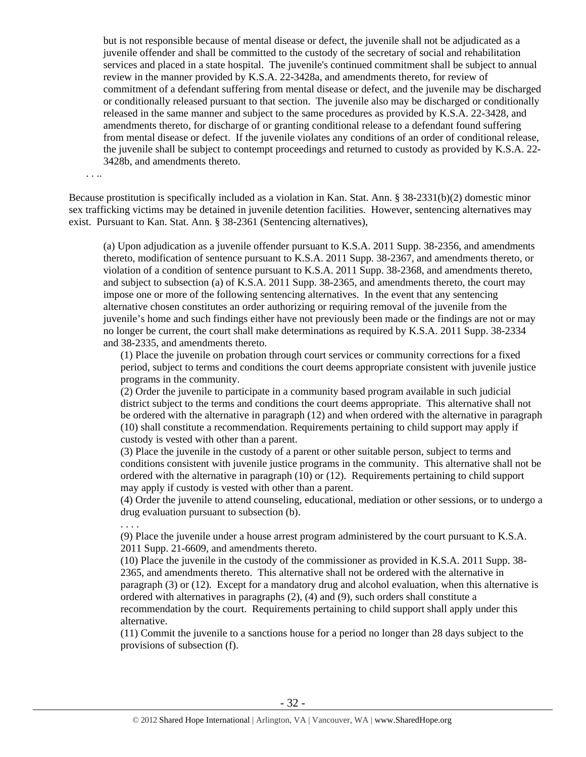but is not responsible because of mental disease or defect, the juvenile shall not be adjudicated as a juvenile offender and shall be committed to the custody of the secretary of social and rehabilitation services and placed in a state hospital. The juvenile's continued commitment shall be subject to annual review in the manner provided by K.S.A. 22-3428a, and amendments thereto, for review of commitment of a defendant suffering from mental disease or defect, and the juvenile may be discharged or conditionally released pursuant to that section. The juvenile also may be discharged or conditionally released in the same manner and subject to the same procedures as provided by K.S.A. 22-3428, and amendments thereto, for discharge of or granting conditional release to a defendant found suffering from mental disease or defect. If the juvenile violates any conditions of an order of conditional release, the juvenile shall be subject to contempt proceedings and returned to custody as provided by K.S.A. 22- 3428b, and amendments thereto.

. . ..

Because prostitution is specifically included as a violation in Kan. Stat. Ann. § 38-2331(b)(2) domestic minor sex trafficking victims may be detained in juvenile detention facilities. However, sentencing alternatives may exist. Pursuant to Kan. Stat. Ann. § 38-2361 (Sentencing alternatives),

(a) Upon adjudication as a juvenile offender pursuant to K.S.A. 2011 Supp. 38-2356, and amendments thereto, modification of sentence pursuant to K.S.A. 2011 Supp. 38-2367, and amendments thereto, or violation of a condition of sentence pursuant to K.S.A. 2011 Supp. 38-2368, and amendments thereto, and subject to subsection (a) of K.S.A. 2011 Supp. 38-2365, and amendments thereto, the court may impose one or more of the following sentencing alternatives. In the event that any sentencing alternative chosen constitutes an order authorizing or requiring removal of the juvenile from the juvenile's home and such findings either have not previously been made or the findings are not or may no longer be current, the court shall make determinations as required by K.S.A. 2011 Supp. 38-2334 and 38-2335, and amendments thereto.

(1) Place the juvenile on probation through court services or community corrections for a fixed period, subject to terms and conditions the court deems appropriate consistent with juvenile justice programs in the community.

(2) Order the juvenile to participate in a community based program available in such judicial district subject to the terms and conditions the court deems appropriate. This alternative shall not be ordered with the alternative in paragraph (12) and when ordered with the alternative in paragraph (10) shall constitute a recommendation. Requirements pertaining to child support may apply if custody is vested with other than a parent.

(3) Place the juvenile in the custody of a parent or other suitable person, subject to terms and conditions consistent with juvenile justice programs in the community. This alternative shall not be ordered with the alternative in paragraph (10) or (12). Requirements pertaining to child support may apply if custody is vested with other than a parent.

(4) Order the juvenile to attend counseling, educational, mediation or other sessions, or to undergo a drug evaluation pursuant to subsection (b).

. . . .

(9) Place the juvenile under a house arrest program administered by the court pursuant to K.S.A. 2011 Supp. 21-6609, and amendments thereto.

(10) Place the juvenile in the custody of the commissioner as provided in K.S.A. 2011 Supp. 38- 2365, and amendments thereto. This alternative shall not be ordered with the alternative in paragraph (3) or (12). Except for a mandatory drug and alcohol evaluation, when this alternative is ordered with alternatives in paragraphs (2), (4) and (9), such orders shall constitute a recommendation by the court. Requirements pertaining to child support shall apply under this alternative.

(11) Commit the juvenile to a sanctions house for a period no longer than 28 days subject to the provisions of subsection (f).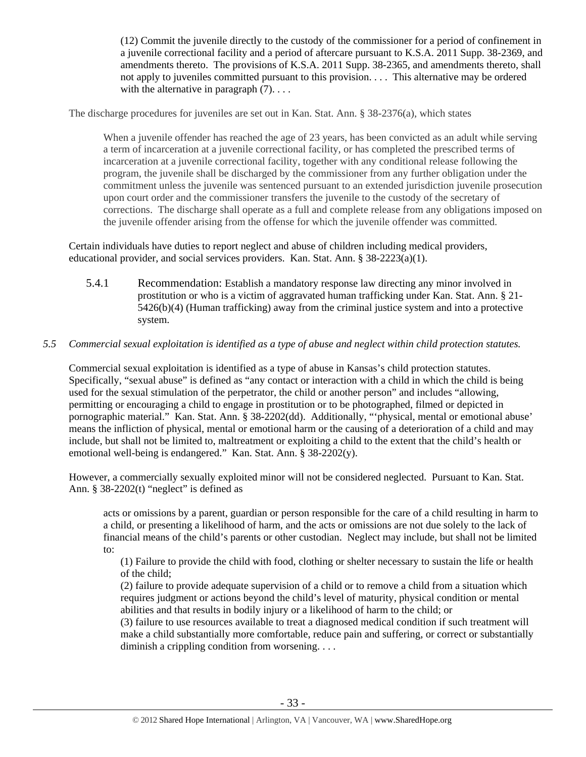(12) Commit the juvenile directly to the custody of the commissioner for a period of confinement in a juvenile correctional facility and a period of aftercare pursuant to K.S.A. 2011 Supp. 38-2369, and amendments thereto. The provisions of K.S.A. 2011 Supp. 38-2365, and amendments thereto, shall not apply to juveniles committed pursuant to this provision. . . . This alternative may be ordered with the alternative in paragraph  $(7)$ ...

The discharge procedures for juveniles are set out in Kan. Stat. Ann. § 38-2376(a), which states

When a juvenile offender has reached the age of 23 years, has been convicted as an adult while serving a term of incarceration at a juvenile correctional facility, or has completed the prescribed terms of incarceration at a juvenile correctional facility, together with any conditional release following the program, the juvenile shall be discharged by the commissioner from any further obligation under the commitment unless the juvenile was sentenced pursuant to an extended jurisdiction juvenile prosecution upon court order and the commissioner transfers the juvenile to the custody of the secretary of corrections. The discharge shall operate as a full and complete release from any obligations imposed on the juvenile offender arising from the offense for which the juvenile offender was committed.

Certain individuals have duties to report neglect and abuse of children including medical providers, educational provider, and social services providers. Kan. Stat. Ann. § 38-2223(a)(1).

5.4.1 Recommendation: Establish a mandatory response law directing any minor involved in prostitution or who is a victim of aggravated human trafficking under Kan. Stat. Ann. § 21- 5426(b)(4) (Human trafficking) away from the criminal justice system and into a protective system.

## *5.5 Commercial sexual exploitation is identified as a type of abuse and neglect within child protection statutes.*

Commercial sexual exploitation is identified as a type of abuse in Kansas's child protection statutes. Specifically, "sexual abuse" is defined as "any contact or interaction with a child in which the child is being used for the sexual stimulation of the perpetrator, the child or another person" and includes "allowing, permitting or encouraging a child to engage in prostitution or to be photographed, filmed or depicted in pornographic material." Kan. Stat. Ann. § 38-2202(dd). Additionally, "'physical, mental or emotional abuse' means the infliction of physical, mental or emotional harm or the causing of a deterioration of a child and may include, but shall not be limited to, maltreatment or exploiting a child to the extent that the child's health or emotional well-being is endangered." Kan. Stat. Ann. § 38-2202(y).

However, a commercially sexually exploited minor will not be considered neglected. Pursuant to Kan. Stat. Ann.  $§$  38-2202(t) "neglect" is defined as

acts or omissions by a parent, guardian or person responsible for the care of a child resulting in harm to a child, or presenting a likelihood of harm, and the acts or omissions are not due solely to the lack of financial means of the child's parents or other custodian. Neglect may include, but shall not be limited to:

(1) Failure to provide the child with food, clothing or shelter necessary to sustain the life or health of the child;

(2) failure to provide adequate supervision of a child or to remove a child from a situation which requires judgment or actions beyond the child's level of maturity, physical condition or mental abilities and that results in bodily injury or a likelihood of harm to the child; or

(3) failure to use resources available to treat a diagnosed medical condition if such treatment will make a child substantially more comfortable, reduce pain and suffering, or correct or substantially diminish a crippling condition from worsening. . . .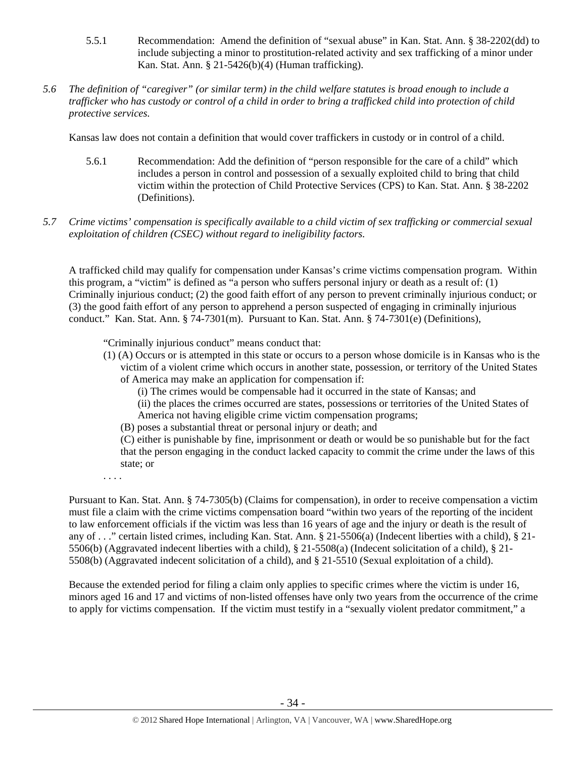- 5.5.1 Recommendation: Amend the definition of "sexual abuse" in Kan. Stat. Ann. § 38-2202(dd) to include subjecting a minor to prostitution-related activity and sex trafficking of a minor under Kan. Stat. Ann. § 21-5426(b)(4) (Human trafficking).
- *5.6 The definition of "caregiver" (or similar term) in the child welfare statutes is broad enough to include a trafficker who has custody or control of a child in order to bring a trafficked child into protection of child protective services.*

Kansas law does not contain a definition that would cover traffickers in custody or in control of a child.

- 5.6.1 Recommendation: Add the definition of "person responsible for the care of a child" which includes a person in control and possession of a sexually exploited child to bring that child victim within the protection of Child Protective Services (CPS) to Kan. Stat. Ann. § 38-2202 (Definitions).
- *5.7 Crime victims' compensation is specifically available to a child victim of sex trafficking or commercial sexual exploitation of children (CSEC) without regard to ineligibility factors.*

A trafficked child may qualify for compensation under Kansas's crime victims compensation program. Within this program, a "victim" is defined as "a person who suffers personal injury or death as a result of: (1) Criminally injurious conduct; (2) the good faith effort of any person to prevent criminally injurious conduct; or (3) the good faith effort of any person to apprehend a person suspected of engaging in criminally injurious conduct." Kan. Stat. Ann. § 74-7301(m). Pursuant to Kan. Stat. Ann. § 74-7301(e) (Definitions),

"Criminally injurious conduct" means conduct that:

- (1) (A) Occurs or is attempted in this state or occurs to a person whose domicile is in Kansas who is the victim of a violent crime which occurs in another state, possession, or territory of the United States of America may make an application for compensation if:
	- (i) The crimes would be compensable had it occurred in the state of Kansas; and
	- (ii) the places the crimes occurred are states, possessions or territories of the United States of America not having eligible crime victim compensation programs;
	- (B) poses a substantial threat or personal injury or death; and
	- (C) either is punishable by fine, imprisonment or death or would be so punishable but for the fact that the person engaging in the conduct lacked capacity to commit the crime under the laws of this state; or

. . . .

Pursuant to Kan. Stat. Ann. § 74-7305(b) (Claims for compensation), in order to receive compensation a victim must file a claim with the crime victims compensation board "within two years of the reporting of the incident to law enforcement officials if the victim was less than 16 years of age and the injury or death is the result of any of . . ." certain listed crimes, including Kan. Stat. Ann. § 21-5506(a) (Indecent liberties with a child), § 21- 5506(b) (Aggravated indecent liberties with a child), § 21-5508(a) (Indecent solicitation of a child), § 21- 5508(b) (Aggravated indecent solicitation of a child), and § 21-5510 (Sexual exploitation of a child).

Because the extended period for filing a claim only applies to specific crimes where the victim is under 16, minors aged 16 and 17 and victims of non-listed offenses have only two years from the occurrence of the crime to apply for victims compensation. If the victim must testify in a "sexually violent predator commitment," a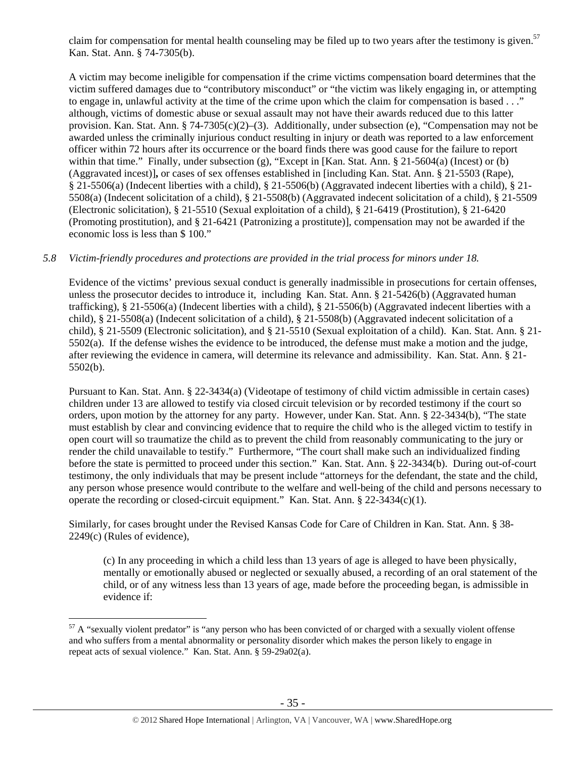claim for compensation for mental health counseling may be filed up to two years after the testimony is given.<sup>57</sup> Kan. Stat. Ann. § 74-7305(b).

A victim may become ineligible for compensation if the crime victims compensation board determines that the victim suffered damages due to "contributory misconduct" or "the victim was likely engaging in, or attempting to engage in, unlawful activity at the time of the crime upon which the claim for compensation is based . . ." although, victims of domestic abuse or sexual assault may not have their awards reduced due to this latter provision. Kan. Stat. Ann. § 74-7305(c)(2)–(3). Additionally, under subsection (e), "Compensation may not be awarded unless the criminally injurious conduct resulting in injury or death was reported to a law enforcement officer within 72 hours after its occurrence or the board finds there was good cause for the failure to report within that time." Finally, under subsection (g), "Except in [Kan. Stat. Ann. § 21-5604(a) (Incest) or (b) (Aggravated incest)]**,** or cases of sex offenses established in [including Kan. Stat. Ann. § 21-5503 (Rape), § 21-5506(a) (Indecent liberties with a child), § 21-5506(b) (Aggravated indecent liberties with a child), § 21- 5508(a) (Indecent solicitation of a child), § 21-5508(b) (Aggravated indecent solicitation of a child), § 21-5509 (Electronic solicitation), § 21-5510 (Sexual exploitation of a child), § 21-6419 (Prostitution), § 21-6420 (Promoting prostitution), and § 21-6421 (Patronizing a prostitute)], compensation may not be awarded if the economic loss is less than \$ 100."

#### *5.8 Victim-friendly procedures and protections are provided in the trial process for minors under 18.*

Evidence of the victims' previous sexual conduct is generally inadmissible in prosecutions for certain offenses, unless the prosecutor decides to introduce it, including Kan. Stat. Ann. § 21-5426(b) (Aggravated human trafficking), § 21-5506(a) (Indecent liberties with a child), § 21-5506(b) (Aggravated indecent liberties with a child), § 21-5508(a) (Indecent solicitation of a child), § 21-5508(b) (Aggravated indecent solicitation of a child), § 21-5509 (Electronic solicitation), and § 21-5510 (Sexual exploitation of a child). Kan. Stat. Ann. § 21-  $5502(a)$ . If the defense wishes the evidence to be introduced, the defense must make a motion and the judge, after reviewing the evidence in camera, will determine its relevance and admissibility. Kan. Stat. Ann. § 21- 5502(b).

Pursuant to Kan. Stat. Ann. § 22-3434(a) (Videotape of testimony of child victim admissible in certain cases) children under 13 are allowed to testify via closed circuit television or by recorded testimony if the court so orders, upon motion by the attorney for any party. However, under Kan. Stat. Ann. § 22-3434(b), "The state must establish by clear and convincing evidence that to require the child who is the alleged victim to testify in open court will so traumatize the child as to prevent the child from reasonably communicating to the jury or render the child unavailable to testify." Furthermore, "The court shall make such an individualized finding before the state is permitted to proceed under this section." Kan. Stat. Ann. § 22-3434(b). During out-of-court testimony, the only individuals that may be present include "attorneys for the defendant, the state and the child, any person whose presence would contribute to the welfare and well-being of the child and persons necessary to operate the recording or closed-circuit equipment." Kan. Stat. Ann. § 22-3434(c)(1).

Similarly, for cases brought under the Revised Kansas Code for Care of Children in Kan. Stat. Ann. § 38- 2249(c) (Rules of evidence),

(c) In any proceeding in which a child less than 13 years of age is alleged to have been physically, mentally or emotionally abused or neglected or sexually abused, a recording of an oral statement of the child, or of any witness less than 13 years of age, made before the proceeding began, is admissible in evidence if:

 $57$  A "sexually violent predator" is "any person who has been convicted of or charged with a sexually violent offense and who suffers from a mental abnormality or personality disorder which makes the person likely to engage in repeat acts of sexual violence." Kan. Stat. Ann. § 59-29a02(a).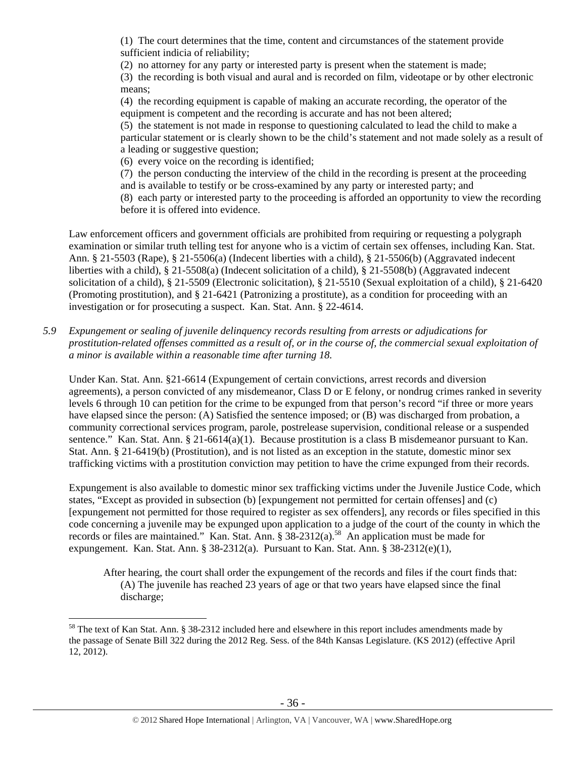(1) The court determines that the time, content and circumstances of the statement provide sufficient indicia of reliability;

(2) no attorney for any party or interested party is present when the statement is made; (3) the recording is both visual and aural and is recorded on film, videotape or by other electronic means;

(4) the recording equipment is capable of making an accurate recording, the operator of the equipment is competent and the recording is accurate and has not been altered;

(5) the statement is not made in response to questioning calculated to lead the child to make a particular statement or is clearly shown to be the child's statement and not made solely as a result of a leading or suggestive question;

(6) every voice on the recording is identified;

(7) the person conducting the interview of the child in the recording is present at the proceeding

and is available to testify or be cross-examined by any party or interested party; and

(8) each party or interested party to the proceeding is afforded an opportunity to view the recording before it is offered into evidence.

Law enforcement officers and government officials are prohibited from requiring or requesting a polygraph examination or similar truth telling test for anyone who is a victim of certain sex offenses, including Kan. Stat. Ann. § 21-5503 (Rape), § 21-5506(a) (Indecent liberties with a child), § 21-5506(b) (Aggravated indecent liberties with a child), § 21-5508(a) (Indecent solicitation of a child), § 21-5508(b) (Aggravated indecent solicitation of a child), § 21-5509 (Electronic solicitation), § 21-5510 (Sexual exploitation of a child), § 21-6420 (Promoting prostitution), and § 21-6421 (Patronizing a prostitute), as a condition for proceeding with an investigation or for prosecuting a suspect. Kan. Stat. Ann. § 22-4614.

*5.9 Expungement or sealing of juvenile delinquency records resulting from arrests or adjudications for prostitution-related offenses committed as a result of, or in the course of, the commercial sexual exploitation of a minor is available within a reasonable time after turning 18.* 

Under Kan. Stat. Ann. §21-6614 (Expungement of certain convictions, arrest records and diversion agreements), a person convicted of any misdemeanor, Class D or E felony, or nondrug crimes ranked in severity levels 6 through 10 can petition for the crime to be expunged from that person's record "if three or more years have elapsed since the person: (A) Satisfied the sentence imposed; or (B) was discharged from probation, a community correctional services program, parole, postrelease supervision, conditional release or a suspended sentence." Kan. Stat. Ann. § 21-6614(a)(1). Because prostitution is a class B misdemeanor pursuant to Kan. Stat. Ann. § 21-6419(b) (Prostitution), and is not listed as an exception in the statute, domestic minor sex trafficking victims with a prostitution conviction may petition to have the crime expunged from their records.

Expungement is also available to domestic minor sex trafficking victims under the Juvenile Justice Code, which states, "Except as provided in subsection (b) [expungement not permitted for certain offenses] and (c) [expungement not permitted for those required to register as sex offenders], any records or files specified in this code concerning a juvenile may be expunged upon application to a judge of the court of the county in which the records or files are maintained." Kan. Stat. Ann. § 38-2312(a).<sup>58</sup> An application must be made for expungement. Kan. Stat. Ann. § 38-2312(a). Pursuant to Kan. Stat. Ann. § 38-2312(e)(1),

After hearing, the court shall order the expungement of the records and files if the court finds that: (A) The juvenile has reached 23 years of age or that two years have elapsed since the final discharge;

<sup>&</sup>lt;sup>58</sup> The text of Kan Stat. Ann. § 38-2312 included here and elsewhere in this report includes amendments made by the passage of Senate Bill 322 during the 2012 Reg. Sess. of the 84th Kansas Legislature. (KS 2012) (effective April 12, 2012).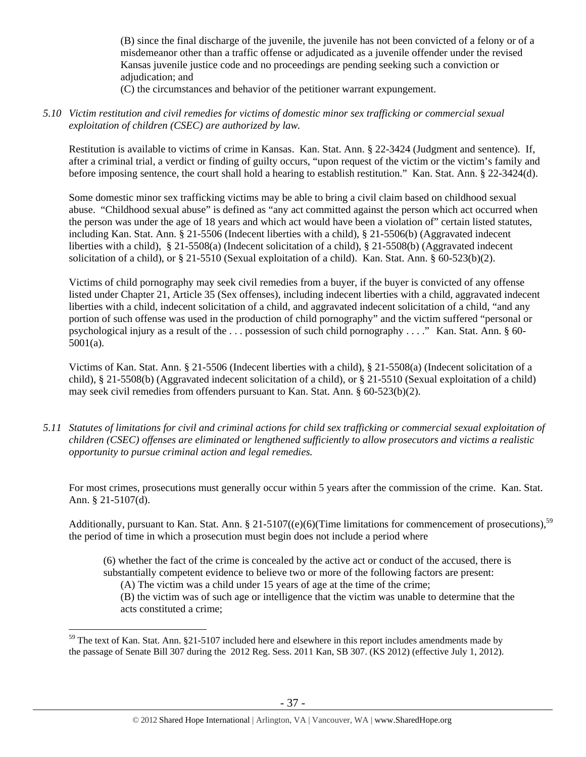(B) since the final discharge of the juvenile, the juvenile has not been convicted of a felony or of a misdemeanor other than a traffic offense or adjudicated as a juvenile offender under the revised Kansas juvenile justice code and no proceedings are pending seeking such a conviction or adjudication; and

(C) the circumstances and behavior of the petitioner warrant expungement.

*5.10 Victim restitution and civil remedies for victims of domestic minor sex trafficking or commercial sexual exploitation of children (CSEC) are authorized by law.* 

Restitution is available to victims of crime in Kansas. Kan. Stat. Ann. § 22-3424 (Judgment and sentence). If, after a criminal trial, a verdict or finding of guilty occurs, "upon request of the victim or the victim's family and before imposing sentence, the court shall hold a hearing to establish restitution." Kan. Stat. Ann. § 22-3424(d).

Some domestic minor sex trafficking victims may be able to bring a civil claim based on childhood sexual abuse. "Childhood sexual abuse" is defined as "any act committed against the person which act occurred when the person was under the age of 18 years and which act would have been a violation of" certain listed statutes, including Kan. Stat. Ann. § 21-5506 (Indecent liberties with a child), § 21-5506(b) (Aggravated indecent liberties with a child), § 21-5508(a) (Indecent solicitation of a child), § 21-5508(b) (Aggravated indecent solicitation of a child), or § 21-5510 (Sexual exploitation of a child). Kan. Stat. Ann. § 60-523(b)(2).

Victims of child pornography may seek civil remedies from a buyer, if the buyer is convicted of any offense listed under Chapter 21, Article 35 (Sex offenses), including indecent liberties with a child, aggravated indecent liberties with a child, indecent solicitation of a child, and aggravated indecent solicitation of a child, "and any portion of such offense was used in the production of child pornography" and the victim suffered "personal or psychological injury as a result of the . . . possession of such child pornography . . . ." Kan. Stat. Ann. § 60- 5001(a).

Victims of Kan. Stat. Ann. § 21-5506 (Indecent liberties with a child), § 21-5508(a) (Indecent solicitation of a child), § 21-5508(b) (Aggravated indecent solicitation of a child), or § 21-5510 (Sexual exploitation of a child) may seek civil remedies from offenders pursuant to Kan. Stat. Ann.  $\S$  60-523(b)(2).

*5.11 Statutes of limitations for civil and criminal actions for child sex trafficking or commercial sexual exploitation of children (CSEC) offenses are eliminated or lengthened sufficiently to allow prosecutors and victims a realistic opportunity to pursue criminal action and legal remedies.* 

For most crimes, prosecutions must generally occur within 5 years after the commission of the crime. Kan. Stat. Ann. § 21-5107(d).

Additionally, pursuant to Kan. Stat. Ann. § 21-5107((e)(6)(Time limitations for commencement of prosecutions),<sup>59</sup> the period of time in which a prosecution must begin does not include a period where

(6) whether the fact of the crime is concealed by the active act or conduct of the accused, there is substantially competent evidence to believe two or more of the following factors are present:

(A) The victim was a child under 15 years of age at the time of the crime;

 $\overline{a}$ 

(B) the victim was of such age or intelligence that the victim was unable to determine that the acts constituted a crime;

<sup>&</sup>lt;sup>59</sup> The text of Kan. Stat. Ann. §21-5107 included here and elsewhere in this report includes amendments made by the passage of Senate Bill 307 during the 2012 Reg. Sess. 2011 Kan, SB 307. (KS 2012) (effective July 1, 2012).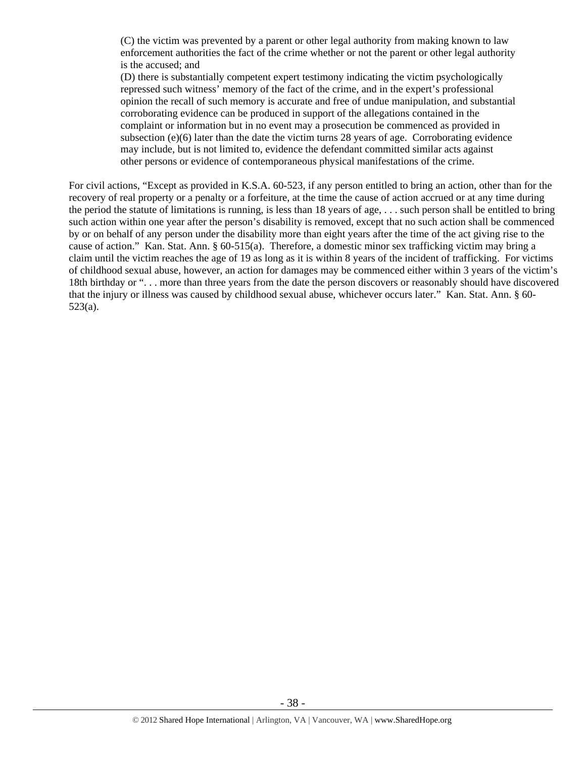(C) the victim was prevented by a parent or other legal authority from making known to law enforcement authorities the fact of the crime whether or not the parent or other legal authority is the accused; and

(D) there is substantially competent expert testimony indicating the victim psychologically repressed such witness' memory of the fact of the crime, and in the expert's professional opinion the recall of such memory is accurate and free of undue manipulation, and substantial corroborating evidence can be produced in support of the allegations contained in the complaint or information but in no event may a prosecution be commenced as provided in subsection (e)(6) later than the date the victim turns 28 years of age. Corroborating evidence may include, but is not limited to, evidence the defendant committed similar acts against other persons or evidence of contemporaneous physical manifestations of the crime.

For civil actions, "Except as provided in K.S.A. 60-523, if any person entitled to bring an action, other than for the recovery of real property or a penalty or a forfeiture, at the time the cause of action accrued or at any time during the period the statute of limitations is running, is less than 18 years of age, . . . such person shall be entitled to bring such action within one year after the person's disability is removed, except that no such action shall be commenced by or on behalf of any person under the disability more than eight years after the time of the act giving rise to the cause of action." Kan. Stat. Ann. § 60-515(a). Therefore, a domestic minor sex trafficking victim may bring a claim until the victim reaches the age of 19 as long as it is within 8 years of the incident of trafficking. For victims of childhood sexual abuse, however, an action for damages may be commenced either within 3 years of the victim's 18th birthday or ". . . more than three years from the date the person discovers or reasonably should have discovered that the injury or illness was caused by childhood sexual abuse, whichever occurs later." Kan. Stat. Ann. § 60- 523(a).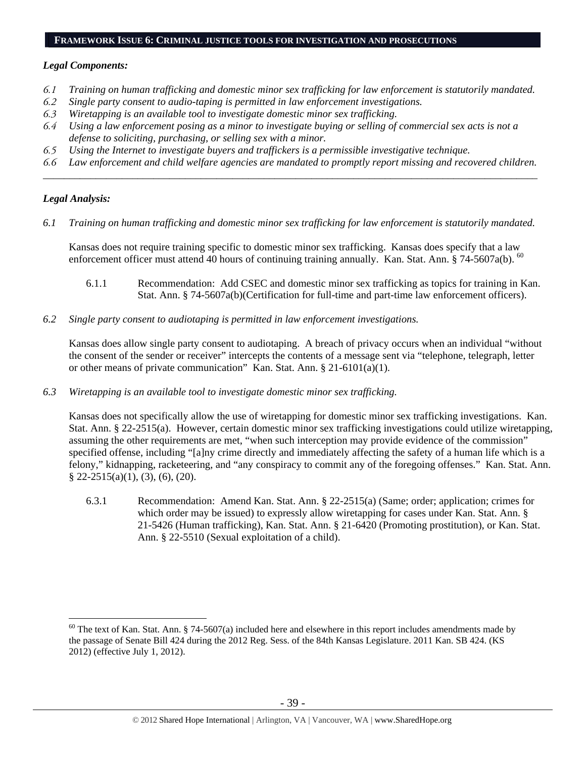#### **FRAMEWORK ISSUE 6: CRIMINAL JUSTICE TOOLS FOR INVESTIGATION AND PROSECUTIONS**

#### *Legal Components:*

- *6.1 Training on human trafficking and domestic minor sex trafficking for law enforcement is statutorily mandated.*
- *6.2 Single party consent to audio-taping is permitted in law enforcement investigations.*
- *6.3 Wiretapping is an available tool to investigate domestic minor sex trafficking.*
- *6.4 Using a law enforcement posing as a minor to investigate buying or selling of commercial sex acts is not a defense to soliciting, purchasing, or selling sex with a minor.*
- *6.5 Using the Internet to investigate buyers and traffickers is a permissible investigative technique.*
- *6.6 Law enforcement and child welfare agencies are mandated to promptly report missing and recovered children. \_\_\_\_\_\_\_\_\_\_\_\_\_\_\_\_\_\_\_\_\_\_\_\_\_\_\_\_\_\_\_\_\_\_\_\_\_\_\_\_\_\_\_\_\_\_\_\_\_\_\_\_\_\_\_\_\_\_\_\_\_\_\_\_\_\_\_\_\_\_\_\_\_\_\_\_\_\_\_\_\_\_\_\_\_\_\_\_\_\_\_\_\_\_*

#### *Legal Analysis:*

 $\overline{a}$ 

*6.1 Training on human trafficking and domestic minor sex trafficking for law enforcement is statutorily mandated.* 

Kansas does not require training specific to domestic minor sex trafficking. Kansas does specify that a law enforcement officer must attend 40 hours of continuing training annually. Kan. Stat. Ann. § 74-5607a(b).  $^{60}$ 

- 6.1.1 Recommendation: Add CSEC and domestic minor sex trafficking as topics for training in Kan. Stat. Ann. § 74-5607a(b)(Certification for full-time and part-time law enforcement officers).
- *6.2 Single party consent to audiotaping is permitted in law enforcement investigations.*

Kansas does allow single party consent to audiotaping. A breach of privacy occurs when an individual "without the consent of the sender or receiver" intercepts the contents of a message sent via "telephone, telegraph, letter or other means of private communication" Kan. Stat. Ann. § 21-6101(a)(1).

*6.3 Wiretapping is an available tool to investigate domestic minor sex trafficking.* 

Kansas does not specifically allow the use of wiretapping for domestic minor sex trafficking investigations. Kan. Stat. Ann. § 22-2515(a). However, certain domestic minor sex trafficking investigations could utilize wiretapping, assuming the other requirements are met, "when such interception may provide evidence of the commission" specified offense, including "[a]ny crime directly and immediately affecting the safety of a human life which is a felony," kidnapping, racketeering, and "any conspiracy to commit any of the foregoing offenses." Kan. Stat. Ann. § 22-2515(a)(1), (3), (6), (20).

6.3.1 Recommendation: Amend Kan. Stat. Ann. § 22-2515(a) (Same; order; application; crimes for which order may be issued) to expressly allow wiretapping for cases under Kan. Stat. Ann. § 21-5426 (Human trafficking), Kan. Stat. Ann. § 21-6420 (Promoting prostitution), or Kan. Stat. Ann. § 22-5510 (Sexual exploitation of a child).

 $60$  The text of Kan. Stat. Ann. § 74-5607(a) included here and elsewhere in this report includes amendments made by the passage of Senate Bill 424 during the 2012 Reg. Sess. of the 84th Kansas Legislature. 2011 Kan. SB 424. (KS 2012) (effective July 1, 2012).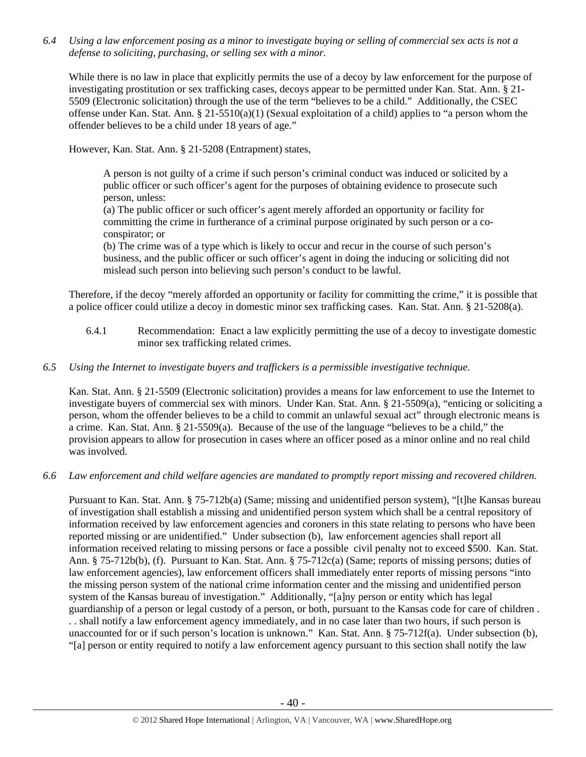*6.4 Using a law enforcement posing as a minor to investigate buying or selling of commercial sex acts is not a defense to soliciting, purchasing, or selling sex with a minor.* 

While there is no law in place that explicitly permits the use of a decoy by law enforcement for the purpose of investigating prostitution or sex trafficking cases, decoys appear to be permitted under Kan. Stat. Ann. § 21- 5509 (Electronic solicitation) through the use of the term "believes to be a child." Additionally, the CSEC offense under Kan. Stat. Ann. § 21-5510(a)(1) (Sexual exploitation of a child) applies to "a person whom the offender believes to be a child under 18 years of age."

However, Kan. Stat. Ann. § 21-5208 (Entrapment) states,

A person is not guilty of a crime if such person's criminal conduct was induced or solicited by a public officer or such officer's agent for the purposes of obtaining evidence to prosecute such person, unless:

(a) The public officer or such officer's agent merely afforded an opportunity or facility for committing the crime in furtherance of a criminal purpose originated by such person or a coconspirator; or

(b) The crime was of a type which is likely to occur and recur in the course of such person's business, and the public officer or such officer's agent in doing the inducing or soliciting did not mislead such person into believing such person's conduct to be lawful.

Therefore, if the decoy "merely afforded an opportunity or facility for committing the crime," it is possible that a police officer could utilize a decoy in domestic minor sex trafficking cases. Kan. Stat. Ann. § 21-5208(a).

6.4.1 Recommendation: Enact a law explicitly permitting the use of a decoy to investigate domestic minor sex trafficking related crimes.

## *6.5 Using the Internet to investigate buyers and traffickers is a permissible investigative technique.*

Kan. Stat. Ann. § 21-5509 (Electronic solicitation) provides a means for law enforcement to use the Internet to investigate buyers of commercial sex with minors. Under Kan. Stat. Ann. § 21-5509(a), "enticing or soliciting a person, whom the offender believes to be a child to commit an unlawful sexual act" through electronic means is a crime. Kan. Stat. Ann. § 21-5509(a). Because of the use of the language "believes to be a child," the provision appears to allow for prosecution in cases where an officer posed as a minor online and no real child was involved.

*6.6 Law enforcement and child welfare agencies are mandated to promptly report missing and recovered children.* 

Pursuant to Kan. Stat. Ann. § 75-712b(a) (Same; missing and unidentified person system), "[t]he Kansas bureau of investigation shall establish a missing and unidentified person system which shall be a central repository of information received by law enforcement agencies and coroners in this state relating to persons who have been reported missing or are unidentified." Under subsection (b), law enforcement agencies shall report all information received relating to missing persons or face a possible civil penalty not to exceed \$500. Kan. Stat. Ann. § 75-712b(b), (f). Pursuant to Kan. Stat. Ann. § 75-712c(a) (Same; reports of missing persons; duties of law enforcement agencies), law enforcement officers shall immediately enter reports of missing persons "into the missing person system of the national crime information center and the missing and unidentified person system of the Kansas bureau of investigation." Additionally, "[a]ny person or entity which has legal guardianship of a person or legal custody of a person, or both, pursuant to the Kansas code for care of children . . . shall notify a law enforcement agency immediately, and in no case later than two hours, if such person is unaccounted for or if such person's location is unknown." Kan. Stat. Ann. § 75-712f(a). Under subsection (b), "[a] person or entity required to notify a law enforcement agency pursuant to this section shall notify the law